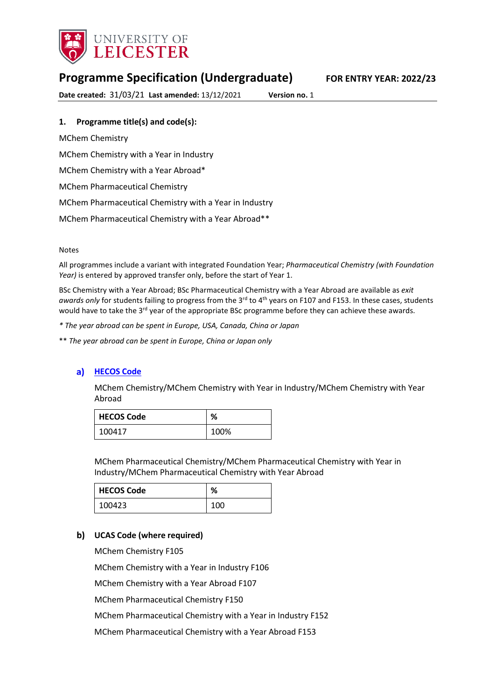

# **Programme Specification (Undergraduate) FOR ENTRY YEAR: 2022/23**

**Date created:** 31/03/21 **Last amended:** 13/12/2021 **Version no.** 1

### **1. Programme title(s) and code(s):**

MChem Chemistry MChem Chemistry with a Year in Industry MChem Chemistry with a Year Abroad\* MChem Pharmaceutical Chemistry MChem Pharmaceutical Chemistry with a Year in Industry MChem Pharmaceutical Chemistry with a Year Abroad\*\*

#### Notes

All programmes include a variant with integrated Foundation Year; *Pharmaceutical Chemistry (with Foundation Year)* is entered by approved transfer only, before the start of Year 1.

BSc Chemistry with a Year Abroad; BSc Pharmaceutical Chemistry with a Year Abroad are available as *exit awards only* for students failing to progress from the 3<sup>rd</sup> to 4<sup>th</sup> years on F107 and F153. In these cases, students would have to take the 3<sup>rd</sup> year of the appropriate BSc programme before they can achieve these awards.

*\* The year abroad can be spent in Europe, USA, Canada, China or Japan*

\*\* *The year abroad can be spent in Europe, China or Japan only* 

### **a)** [HECOS Code](https://www.hesa.ac.uk/innovation/hecos)

MChem Chemistry/MChem Chemistry with Year in Industry/MChem Chemistry with Year Abroad

| <b>HECOS Code</b> | %    |
|-------------------|------|
| 100417            | 100% |

MChem Pharmaceutical Chemistry/MChem Pharmaceutical Chemistry with Year in Industry/MChem Pharmaceutical Chemistry with Year Abroad

| <b>HECOS Code</b> | %   |
|-------------------|-----|
| 100423            | 100 |

### **UCAS Code (where required)**

MChem Chemistry F105 MChem Chemistry with a Year in Industry F106 MChem Chemistry with a Year Abroad F107 MChem Pharmaceutical Chemistry F150 MChem Pharmaceutical Chemistry with a Year in Industry F152 MChem Pharmaceutical Chemistry with a Year Abroad F153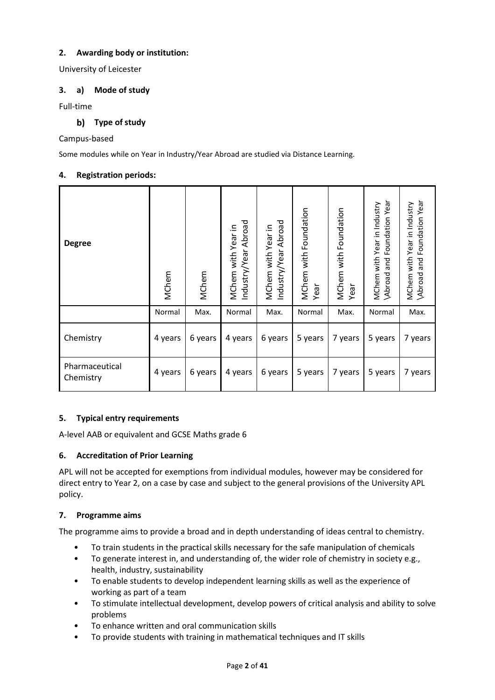### **2. Awarding body or institution:**

University of Leicester

### **3. a) Mode of study**

Full-time

### **Type of study**

### Campus-based

Some modules while on Year in Industry/Year Abroad are studied via Distance Learning.

### **4. Registration periods:**

| <b>Degree</b>               | MChem   | MChem   | Industry/Year Abroad<br>MChem with Year in | ndustry/Year Abroad<br>MChem with Year in | MChem with Foundation<br>Year | MChem with Foundation<br>Year | Foundation Year<br>MChem with Year in Industry<br>and<br>Abroad | Foundation Year<br>MChem with Year in Industry<br>\Abroad and Foundation Yea |
|-----------------------------|---------|---------|--------------------------------------------|-------------------------------------------|-------------------------------|-------------------------------|-----------------------------------------------------------------|------------------------------------------------------------------------------|
|                             | Normal  | Max.    | Normal                                     | Max.                                      | Normal                        | Max.                          | Normal                                                          | Max.                                                                         |
| Chemistry                   | 4 years | 6 years | 4 years                                    | 6 years                                   | 5 years                       | 7 years                       | 5 years                                                         | 7 years                                                                      |
| Pharmaceutical<br>Chemistry | 4 years | 6 years | 4 years                                    | 6 years                                   | 5 years                       | 7 years                       | 5 years                                                         | 7 years                                                                      |

### **5. Typical entry requirements**

A-level AAB or equivalent and GCSE Maths grade 6

### **6. Accreditation of Prior Learning**

APL will not be accepted for exemptions from individual modules, however may be considered for direct entry to Year 2, on a case by case and subject to the general provisions of the University APL policy.

### **7. Programme aims**

The programme aims to provide a broad and in depth understanding of ideas central to chemistry.

- To train students in the practical skills necessary for the safe manipulation of chemicals
- To generate interest in, and understanding of, the wider role of chemistry in society e.g., health, industry, sustainability
- To enable students to develop independent learning skills as well as the experience of working as part of a team
- To stimulate intellectual development, develop powers of critical analysis and ability to solve problems
- To enhance written and oral communication skills
- To provide students with training in mathematical techniques and IT skills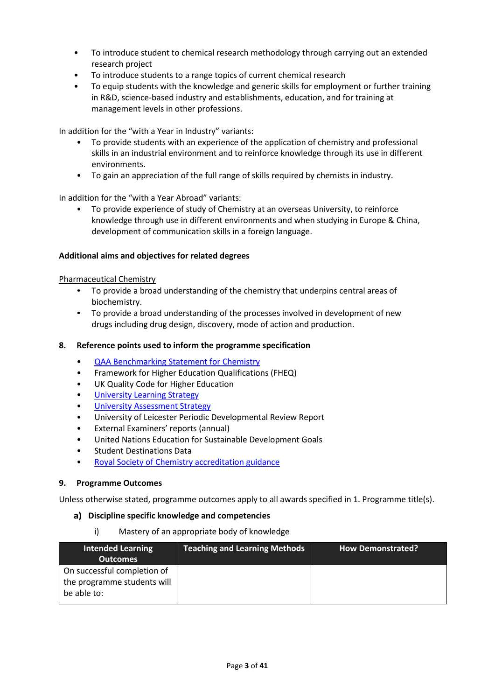- To introduce student to chemical research methodology through carrying out an extended research project
- To introduce students to a range topics of current chemical research
- To equip students with the knowledge and generic skills for employment or further training in R&D, science-based industry and establishments, education, and for training at management levels in other professions.

In addition for the "with a Year in Industry" variants:

- To provide students with an experience of the application of chemistry and professional skills in an industrial environment and to reinforce knowledge through its use in different environments.
- To gain an appreciation of the full range of skills required by chemists in industry.

In addition for the "with a Year Abroad" variants:

• To provide experience of study of Chemistry at an overseas University, to reinforce knowledge through use in different environments and when studying in Europe & China, development of communication skills in a foreign language.

#### **Additional aims and objectives for related degrees**

#### Pharmaceutical Chemistry

- To provide a broad understanding of the chemistry that underpins central areas of biochemistry.
- To provide a broad understanding of the processes involved in development of new drugs including drug design, discovery, mode of action and production.

#### **8. Reference points used to inform the programme specification**

- [QAA Benchmarking Statement for Chemistry](https://www.qaa.ac.uk/docs/qaa/subject-benchmark-statements/subject-benchmark-statement-chemistry.pdf)
- Framework for Higher Education Qualifications (FHEQ)
- UK Quality Code for Higher Education
- University Learning [Strategy](https://www2.le.ac.uk/offices/sas2/quality/learnteach)
- [University Assessment Strategy](https://www2.le.ac.uk/offices/sas2/quality/learnteach)
- University of Leicester Periodic Developmental Review Report
- External Examiners' reports (annual)
- United Nations Education for Sustainable Development Goals
- Student Destinations Data
- [Royal Society of Chemistry accreditation guidance](https://www.rsc.org/membership-and-community/degree-accreditation/?404;http://www.rsc.org:80/images/Accreditaiton%20criteria%202017_tcm18-151306.pdf)

#### **9. Programme Outcomes**

Unless otherwise stated, programme outcomes apply to all awards specified in 1. Programme title(s).

#### **Discipline specific knowledge and competencies**

#### i) Mastery of an appropriate body of knowledge

| Intended Learning<br><b>Outcomes</b>                                      | <b>Teaching and Learning Methods</b> | <b>How Demonstrated?</b> |
|---------------------------------------------------------------------------|--------------------------------------|--------------------------|
| On successful completion of<br>the programme students will<br>be able to: |                                      |                          |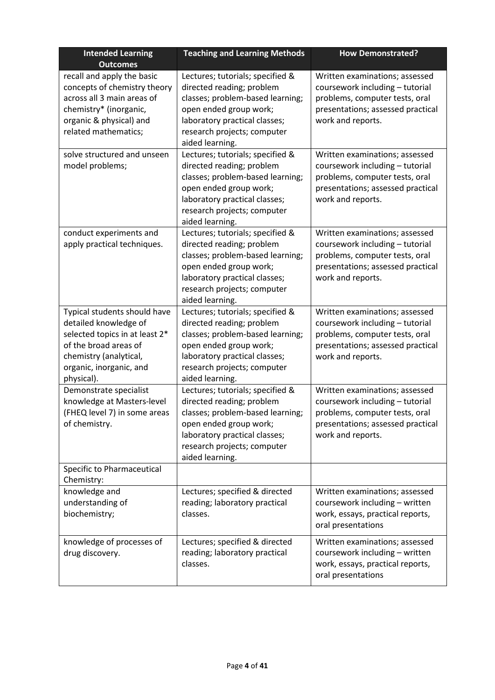| <b>Intended Learning</b><br><b>Outcomes</b>                                                                                                                                         | <b>Teaching and Learning Methods</b>                                                                                                                                                                           | <b>How Demonstrated?</b>                                                                                                                                      |
|-------------------------------------------------------------------------------------------------------------------------------------------------------------------------------------|----------------------------------------------------------------------------------------------------------------------------------------------------------------------------------------------------------------|---------------------------------------------------------------------------------------------------------------------------------------------------------------|
| recall and apply the basic<br>concepts of chemistry theory<br>across all 3 main areas of<br>chemistry* (inorganic,<br>organic & physical) and<br>related mathematics;               | Lectures; tutorials; specified &<br>directed reading; problem<br>classes; problem-based learning;<br>open ended group work;<br>laboratory practical classes;<br>research projects; computer<br>aided learning. | Written examinations; assessed<br>coursework including - tutorial<br>problems, computer tests, oral<br>presentations; assessed practical<br>work and reports. |
| solve structured and unseen<br>model problems;                                                                                                                                      | Lectures; tutorials; specified &<br>directed reading; problem<br>classes; problem-based learning;<br>open ended group work;<br>laboratory practical classes;<br>research projects; computer<br>aided learning. | Written examinations; assessed<br>coursework including - tutorial<br>problems, computer tests, oral<br>presentations; assessed practical<br>work and reports. |
| conduct experiments and<br>apply practical techniques.                                                                                                                              | Lectures; tutorials; specified &<br>directed reading; problem<br>classes; problem-based learning;<br>open ended group work;<br>laboratory practical classes;<br>research projects; computer<br>aided learning. | Written examinations; assessed<br>coursework including - tutorial<br>problems, computer tests, oral<br>presentations; assessed practical<br>work and reports. |
| Typical students should have<br>detailed knowledge of<br>selected topics in at least 2*<br>of the broad areas of<br>chemistry (analytical,<br>organic, inorganic, and<br>physical). | Lectures; tutorials; specified &<br>directed reading; problem<br>classes; problem-based learning;<br>open ended group work;<br>laboratory practical classes;<br>research projects; computer<br>aided learning. | Written examinations; assessed<br>coursework including - tutorial<br>problems, computer tests, oral<br>presentations; assessed practical<br>work and reports. |
| Demonstrate specialist<br>knowledge at Masters-level<br>(FHEQ level 7) in some areas<br>of chemistry.                                                                               | Lectures; tutorials; specified &<br>directed reading; problem<br>classes; problem-based learning;<br>open ended group work;<br>laboratory practical classes;<br>research projects; computer<br>aided learning. | Written examinations; assessed<br>coursework including - tutorial<br>problems, computer tests, oral<br>presentations; assessed practical<br>work and reports. |
| Specific to Pharmaceutical<br>Chemistry:                                                                                                                                            |                                                                                                                                                                                                                |                                                                                                                                                               |
| knowledge and<br>understanding of<br>biochemistry;                                                                                                                                  | Lectures; specified & directed<br>reading; laboratory practical<br>classes.                                                                                                                                    | Written examinations; assessed<br>coursework including - written<br>work, essays, practical reports,<br>oral presentations                                    |
| knowledge of processes of<br>drug discovery.                                                                                                                                        | Lectures; specified & directed<br>reading; laboratory practical<br>classes.                                                                                                                                    | Written examinations; assessed<br>coursework including - written<br>work, essays, practical reports,<br>oral presentations                                    |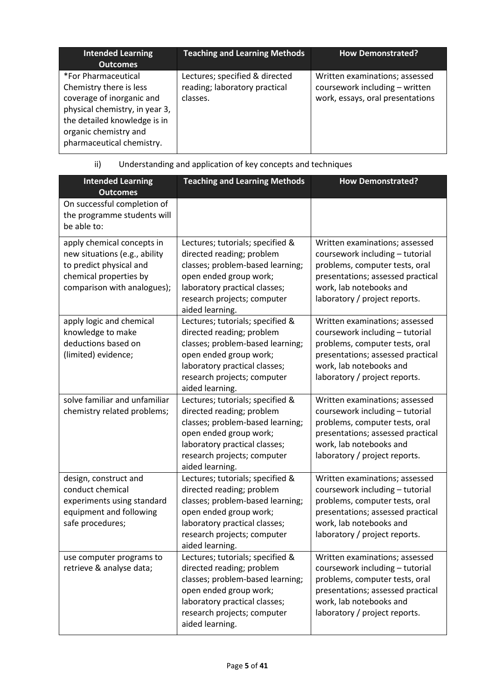| <b>Intended Learning</b><br><b>Outcomes</b>                                                                                                                                                         | <b>Teaching and Learning Methods</b>                                        | <b>How Demonstrated?</b>                                                                             |
|-----------------------------------------------------------------------------------------------------------------------------------------------------------------------------------------------------|-----------------------------------------------------------------------------|------------------------------------------------------------------------------------------------------|
| *For Pharmaceutical<br>Chemistry there is less<br>coverage of inorganic and<br>physical chemistry, in year 3,<br>the detailed knowledge is in<br>organic chemistry and<br>pharmaceutical chemistry. | Lectures; specified & directed<br>reading; laboratory practical<br>classes. | Written examinations; assessed<br>coursework including - written<br>work, essays, oral presentations |

# ii) Understanding and application of key concepts and techniques

| <b>Intended Learning</b><br><b>Outcomes</b>                                                                                                     | <b>Teaching and Learning Methods</b>                                                                                                                                                                           | <b>How Demonstrated?</b>                                                                                                                                                                             |
|-------------------------------------------------------------------------------------------------------------------------------------------------|----------------------------------------------------------------------------------------------------------------------------------------------------------------------------------------------------------------|------------------------------------------------------------------------------------------------------------------------------------------------------------------------------------------------------|
| On successful completion of<br>the programme students will<br>be able to:                                                                       |                                                                                                                                                                                                                |                                                                                                                                                                                                      |
| apply chemical concepts in<br>new situations (e.g., ability<br>to predict physical and<br>chemical properties by<br>comparison with analogues); | Lectures; tutorials; specified &<br>directed reading; problem<br>classes; problem-based learning;<br>open ended group work;<br>laboratory practical classes;<br>research projects; computer<br>aided learning. | Written examinations; assessed<br>coursework including - tutorial<br>problems, computer tests, oral<br>presentations; assessed practical<br>work, lab notebooks and<br>laboratory / project reports. |
| apply logic and chemical<br>knowledge to make<br>deductions based on<br>(limited) evidence;                                                     | Lectures; tutorials; specified &<br>directed reading; problem<br>classes; problem-based learning;<br>open ended group work;<br>laboratory practical classes;<br>research projects; computer<br>aided learning. | Written examinations; assessed<br>coursework including - tutorial<br>problems, computer tests, oral<br>presentations; assessed practical<br>work, lab notebooks and<br>laboratory / project reports. |
| solve familiar and unfamiliar<br>chemistry related problems;                                                                                    | Lectures; tutorials; specified &<br>directed reading; problem<br>classes; problem-based learning;<br>open ended group work;<br>laboratory practical classes;<br>research projects; computer<br>aided learning. | Written examinations; assessed<br>coursework including - tutorial<br>problems, computer tests, oral<br>presentations; assessed practical<br>work, lab notebooks and<br>laboratory / project reports. |
| design, construct and<br>conduct chemical<br>experiments using standard<br>equipment and following<br>safe procedures;                          | Lectures; tutorials; specified &<br>directed reading; problem<br>classes; problem-based learning;<br>open ended group work;<br>laboratory practical classes;<br>research projects; computer<br>aided learning. | Written examinations; assessed<br>coursework including - tutorial<br>problems, computer tests, oral<br>presentations; assessed practical<br>work, lab notebooks and<br>laboratory / project reports. |
| use computer programs to<br>retrieve & analyse data;                                                                                            | Lectures; tutorials; specified &<br>directed reading; problem<br>classes; problem-based learning;<br>open ended group work;<br>laboratory practical classes;<br>research projects; computer<br>aided learning. | Written examinations; assessed<br>coursework including - tutorial<br>problems, computer tests, oral<br>presentations; assessed practical<br>work, lab notebooks and<br>laboratory / project reports. |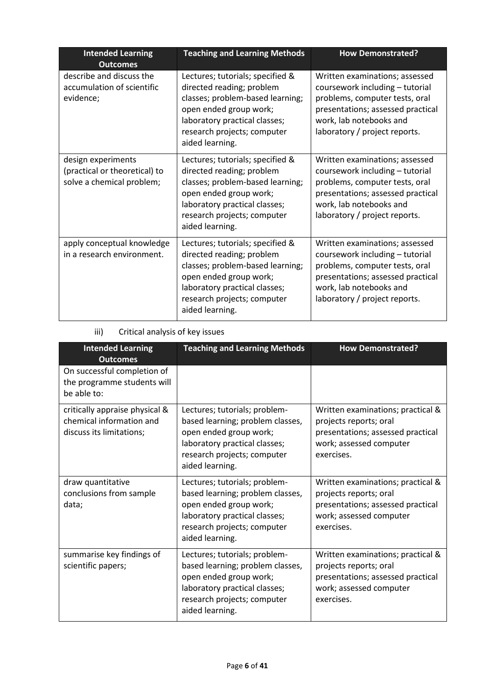| <b>Intended Learning</b><br><b>Outcomes</b>                                      | <b>Teaching and Learning Methods</b>                                                                                                                                                                           | <b>How Demonstrated?</b>                                                                                                                                                                             |
|----------------------------------------------------------------------------------|----------------------------------------------------------------------------------------------------------------------------------------------------------------------------------------------------------------|------------------------------------------------------------------------------------------------------------------------------------------------------------------------------------------------------|
| describe and discuss the<br>accumulation of scientific<br>evidence;              | Lectures; tutorials; specified &<br>directed reading; problem<br>classes; problem-based learning;<br>open ended group work;<br>laboratory practical classes;<br>research projects; computer<br>aided learning. | Written examinations; assessed<br>coursework including - tutorial<br>problems, computer tests, oral<br>presentations; assessed practical<br>work, lab notebooks and<br>laboratory / project reports. |
| design experiments<br>(practical or theoretical) to<br>solve a chemical problem; | Lectures; tutorials; specified &<br>directed reading; problem<br>classes; problem-based learning;<br>open ended group work;<br>laboratory practical classes;<br>research projects; computer<br>aided learning. | Written examinations; assessed<br>coursework including - tutorial<br>problems, computer tests, oral<br>presentations; assessed practical<br>work, lab notebooks and<br>laboratory / project reports. |
| apply conceptual knowledge<br>in a research environment.                         | Lectures; tutorials; specified &<br>directed reading; problem<br>classes; problem-based learning;<br>open ended group work;<br>laboratory practical classes;<br>research projects; computer<br>aided learning. | Written examinations; assessed<br>coursework including - tutorial<br>problems, computer tests, oral<br>presentations; assessed practical<br>work, lab notebooks and<br>laboratory / project reports. |

# iii) Critical analysis of key issues

| <b>Intended Learning</b><br><b>Outcomes</b>                                            | <b>Teaching and Learning Methods</b>                                                                                                                                           | <b>How Demonstrated?</b>                                                                                                                  |
|----------------------------------------------------------------------------------------|--------------------------------------------------------------------------------------------------------------------------------------------------------------------------------|-------------------------------------------------------------------------------------------------------------------------------------------|
| On successful completion of<br>the programme students will<br>be able to:              |                                                                                                                                                                                |                                                                                                                                           |
| critically appraise physical &<br>chemical information and<br>discuss its limitations; | Lectures; tutorials; problem-<br>based learning; problem classes,<br>open ended group work;<br>laboratory practical classes;<br>research projects; computer<br>aided learning. | Written examinations; practical &<br>projects reports; oral<br>presentations; assessed practical<br>work; assessed computer<br>exercises. |
| draw quantitative<br>conclusions from sample<br>data;                                  | Lectures; tutorials; problem-<br>based learning; problem classes,<br>open ended group work;<br>laboratory practical classes;<br>research projects; computer<br>aided learning. | Written examinations; practical &<br>projects reports; oral<br>presentations; assessed practical<br>work; assessed computer<br>exercises. |
| summarise key findings of<br>scientific papers;                                        | Lectures; tutorials; problem-<br>based learning; problem classes,<br>open ended group work;<br>laboratory practical classes;<br>research projects; computer<br>aided learning. | Written examinations; practical &<br>projects reports; oral<br>presentations; assessed practical<br>work; assessed computer<br>exercises. |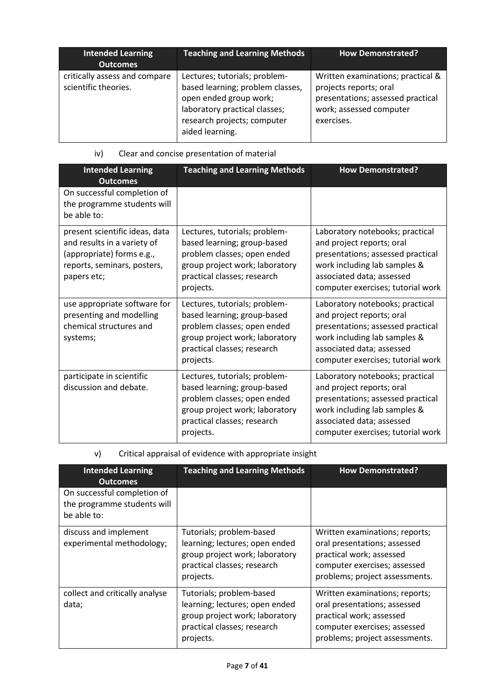| <b>Intended Learning</b><br><b>Outcomes</b>           | <b>Teaching and Learning Methods</b>                                                                                                                                           | <b>How Demonstrated?</b>                                                                                                                  |
|-------------------------------------------------------|--------------------------------------------------------------------------------------------------------------------------------------------------------------------------------|-------------------------------------------------------------------------------------------------------------------------------------------|
| critically assess and compare<br>scientific theories. | Lectures; tutorials; problem-<br>based learning; problem classes,<br>open ended group work;<br>laboratory practical classes;<br>research projects; computer<br>aided learning. | Written examinations; practical &<br>projects reports; oral<br>presentations; assessed practical<br>work; assessed computer<br>exercises. |

| iv) |  | Clear and concise presentation of material |  |
|-----|--|--------------------------------------------|--|
|     |  |                                            |  |

| <b>Intended Learning</b><br><b>Outcomes</b>                                                                                              | <b>Teaching and Learning Methods</b>                                                                                                                                      | <b>How Demonstrated?</b>                                                                                                                                                                            |
|------------------------------------------------------------------------------------------------------------------------------------------|---------------------------------------------------------------------------------------------------------------------------------------------------------------------------|-----------------------------------------------------------------------------------------------------------------------------------------------------------------------------------------------------|
| On successful completion of<br>the programme students will<br>be able to:                                                                |                                                                                                                                                                           |                                                                                                                                                                                                     |
| present scientific ideas, data<br>and results in a variety of<br>(appropriate) forms e.g.,<br>reports, seminars, posters,<br>papers etc; | Lectures, tutorials; problem-<br>based learning; group-based<br>problem classes; open ended<br>group project work; laboratory<br>practical classes; research<br>projects. | Laboratory notebooks; practical<br>and project reports; oral<br>presentations; assessed practical<br>work including lab samples &<br>associated data; assessed<br>computer exercises; tutorial work |
| use appropriate software for<br>presenting and modelling<br>chemical structures and<br>systems;                                          | Lectures, tutorials; problem-<br>based learning; group-based<br>problem classes; open ended<br>group project work; laboratory<br>practical classes; research<br>projects. | Laboratory notebooks; practical<br>and project reports; oral<br>presentations; assessed practical<br>work including lab samples &<br>associated data; assessed<br>computer exercises; tutorial work |
| participate in scientific<br>discussion and debate.                                                                                      | Lectures, tutorials; problem-<br>based learning; group-based<br>problem classes; open ended<br>group project work; laboratory<br>practical classes; research<br>projects. | Laboratory notebooks; practical<br>and project reports; oral<br>presentations; assessed practical<br>work including lab samples &<br>associated data; assessed<br>computer exercises; tutorial work |

# v) Critical appraisal of evidence with appropriate insight

| <b>Intended Learning</b><br><b>Outcomes</b>                               | <b>Teaching and Learning Methods</b>                                                                                                     | <b>How Demonstrated?</b>                                                                                                                                     |
|---------------------------------------------------------------------------|------------------------------------------------------------------------------------------------------------------------------------------|--------------------------------------------------------------------------------------------------------------------------------------------------------------|
| On successful completion of<br>the programme students will<br>be able to: |                                                                                                                                          |                                                                                                                                                              |
| discuss and implement<br>experimental methodology;                        | Tutorials; problem-based<br>learning; lectures; open ended<br>group project work; laboratory<br>practical classes; research<br>projects. | Written examinations; reports;<br>oral presentations; assessed<br>practical work; assessed<br>computer exercises; assessed<br>problems; project assessments. |
| collect and critically analyse<br>data;                                   | Tutorials; problem-based<br>learning; lectures; open ended<br>group project work; laboratory<br>practical classes; research<br>projects. | Written examinations; reports;<br>oral presentations; assessed<br>practical work; assessed<br>computer exercises; assessed<br>problems; project assessments. |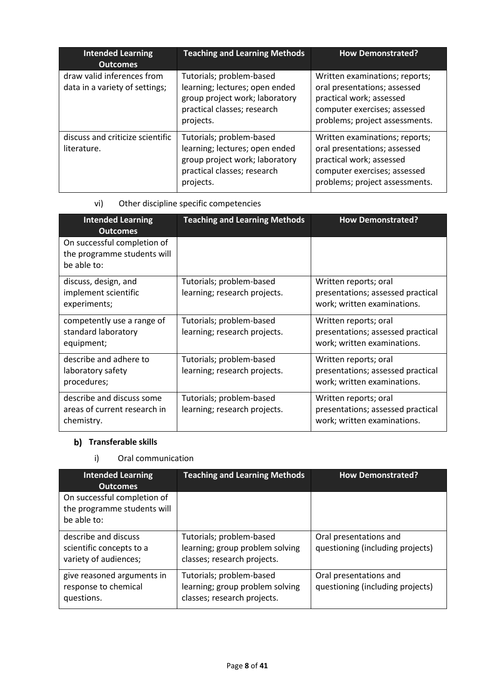| <b>Intended Learning</b><br><b>Outcomes</b>                  | <b>Teaching and Learning Methods</b>                                                                                                     | <b>How Demonstrated?</b>                                                                                                                                     |
|--------------------------------------------------------------|------------------------------------------------------------------------------------------------------------------------------------------|--------------------------------------------------------------------------------------------------------------------------------------------------------------|
| draw valid inferences from<br>data in a variety of settings; | Tutorials; problem-based<br>learning; lectures; open ended<br>group project work; laboratory<br>practical classes; research<br>projects. | Written examinations; reports;<br>oral presentations; assessed<br>practical work; assessed<br>computer exercises; assessed<br>problems; project assessments. |
| discuss and criticize scientific<br>literature.              | Tutorials; problem-based<br>learning; lectures; open ended<br>group project work; laboratory<br>practical classes; research<br>projects. | Written examinations; reports;<br>oral presentations; assessed<br>practical work; assessed<br>computer exercises; assessed<br>problems; project assessments. |

# vi) Other discipline specific competencies

| <b>Intended Learning</b><br><b>Outcomes</b>                               | <b>Teaching and Learning Methods</b>                     | <b>How Demonstrated?</b>                                                                  |
|---------------------------------------------------------------------------|----------------------------------------------------------|-------------------------------------------------------------------------------------------|
| On successful completion of<br>the programme students will<br>be able to: |                                                          |                                                                                           |
| discuss, design, and<br>implement scientific<br>experiments;              | Tutorials; problem-based<br>learning; research projects. | Written reports; oral<br>presentations; assessed practical<br>work; written examinations. |
| competently use a range of<br>standard laboratory<br>equipment;           | Tutorials; problem-based<br>learning; research projects. | Written reports; oral<br>presentations; assessed practical<br>work; written examinations. |
| describe and adhere to<br>laboratory safety<br>procedures;                | Tutorials; problem-based<br>learning; research projects. | Written reports; oral<br>presentations; assessed practical<br>work; written examinations. |
| describe and discuss some<br>areas of current research in<br>chemistry.   | Tutorials; problem-based<br>learning; research projects. | Written reports; oral<br>presentations; assessed practical<br>work; written examinations. |

# **b)** Transferable skills

### i) Oral communication

| <b>Intended Learning</b><br><b>Outcomes</b>                               | <b>Teaching and Learning Methods</b>                                                       | <b>How Demonstrated?</b>                                   |
|---------------------------------------------------------------------------|--------------------------------------------------------------------------------------------|------------------------------------------------------------|
| On successful completion of<br>the programme students will<br>be able to: |                                                                                            |                                                            |
| describe and discuss<br>scientific concepts to a<br>variety of audiences; | Tutorials; problem-based<br>learning; group problem solving<br>classes; research projects. | Oral presentations and<br>questioning (including projects) |
| give reasoned arguments in<br>response to chemical<br>questions.          | Tutorials; problem-based<br>learning; group problem solving<br>classes; research projects. | Oral presentations and<br>questioning (including projects) |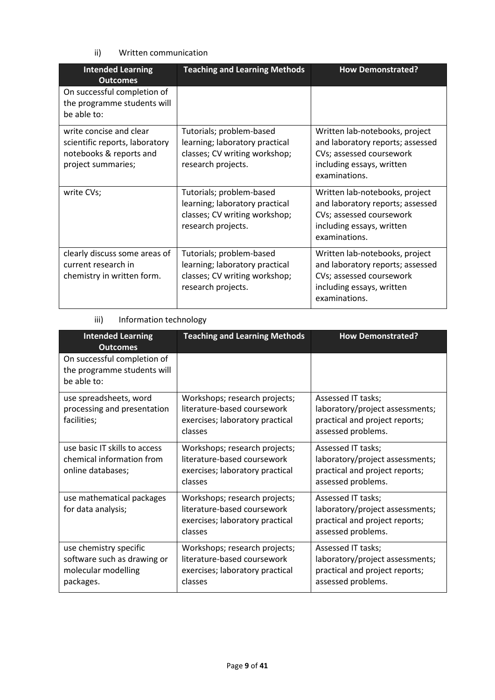ii) Written communication

| <b>Intended Learning</b><br><b>Outcomes</b>                                                                | <b>Teaching and Learning Methods</b>                                                                              | <b>How Demonstrated?</b>                                                                                                                     |
|------------------------------------------------------------------------------------------------------------|-------------------------------------------------------------------------------------------------------------------|----------------------------------------------------------------------------------------------------------------------------------------------|
| On successful completion of<br>the programme students will<br>be able to:                                  |                                                                                                                   |                                                                                                                                              |
| write concise and clear<br>scientific reports, laboratory<br>notebooks & reports and<br>project summaries; | Tutorials; problem-based<br>learning; laboratory practical<br>classes; CV writing workshop;<br>research projects. | Written lab-notebooks, project<br>and laboratory reports; assessed<br>CVs; assessed coursework<br>including essays, written<br>examinations. |
| write CVs;                                                                                                 | Tutorials; problem-based<br>learning; laboratory practical<br>classes; CV writing workshop;<br>research projects. | Written lab-notebooks, project<br>and laboratory reports; assessed<br>CVs; assessed coursework<br>including essays, written<br>examinations. |
| clearly discuss some areas of<br>current research in<br>chemistry in written form.                         | Tutorials; problem-based<br>learning; laboratory practical<br>classes; CV writing workshop;<br>research projects. | Written lab-notebooks, project<br>and laboratory reports; assessed<br>CVs; assessed coursework<br>including essays, written<br>examinations. |

### iii) Information technology

| <b>Intended Learning</b><br><b>Outcomes</b>                                               | <b>Teaching and Learning Methods</b>                                                                       | <b>How Demonstrated?</b>                                                                                      |
|-------------------------------------------------------------------------------------------|------------------------------------------------------------------------------------------------------------|---------------------------------------------------------------------------------------------------------------|
| On successful completion of<br>the programme students will<br>be able to:                 |                                                                                                            |                                                                                                               |
| use spreadsheets, word<br>processing and presentation<br>facilities;                      | Workshops; research projects;<br>literature-based coursework<br>exercises; laboratory practical<br>classes | Assessed IT tasks;<br>laboratory/project assessments;<br>practical and project reports;<br>assessed problems. |
| use basic IT skills to access<br>chemical information from<br>online databases;           | Workshops; research projects;<br>literature-based coursework<br>exercises; laboratory practical<br>classes | Assessed IT tasks;<br>laboratory/project assessments;<br>practical and project reports;<br>assessed problems. |
| use mathematical packages<br>for data analysis;                                           | Workshops; research projects;<br>literature-based coursework<br>exercises; laboratory practical<br>classes | Assessed IT tasks;<br>laboratory/project assessments;<br>practical and project reports;<br>assessed problems. |
| use chemistry specific<br>software such as drawing or<br>molecular modelling<br>packages. | Workshops; research projects;<br>literature-based coursework<br>exercises; laboratory practical<br>classes | Assessed IT tasks;<br>laboratory/project assessments;<br>practical and project reports;<br>assessed problems. |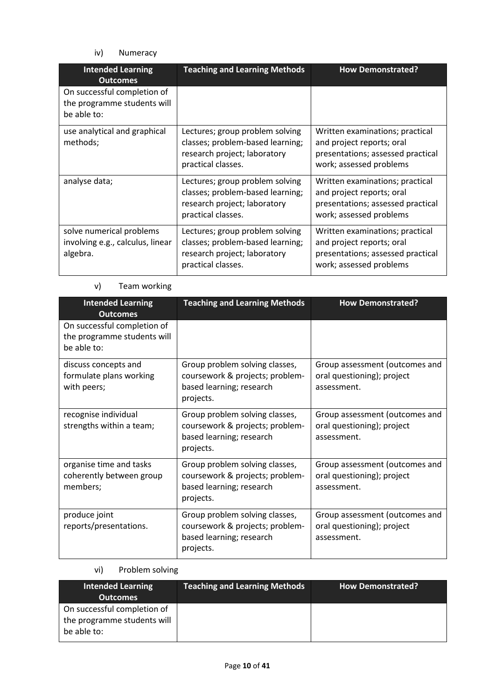iv) Numeracy

| <b>Intended Learning</b><br><b>Outcomes</b>                               | <b>Teaching and Learning Methods</b>                                                                                      | <b>How Demonstrated?</b>                                                                                                     |
|---------------------------------------------------------------------------|---------------------------------------------------------------------------------------------------------------------------|------------------------------------------------------------------------------------------------------------------------------|
| On successful completion of<br>the programme students will<br>be able to: |                                                                                                                           |                                                                                                                              |
| use analytical and graphical<br>methods;                                  | Lectures; group problem solving<br>classes; problem-based learning;<br>research project; laboratory<br>practical classes. | Written examinations; practical<br>and project reports; oral<br>presentations; assessed practical<br>work; assessed problems |
| analyse data;                                                             | Lectures; group problem solving<br>classes; problem-based learning;<br>research project; laboratory<br>practical classes. | Written examinations; practical<br>and project reports; oral<br>presentations; assessed practical<br>work; assessed problems |
| solve numerical problems<br>involving e.g., calculus, linear<br>algebra.  | Lectures; group problem solving<br>classes; problem-based learning;<br>research project; laboratory<br>practical classes. | Written examinations; practical<br>and project reports; oral<br>presentations; assessed practical<br>work; assessed problems |

# v) Team working

| <b>Intended Learning</b><br><b>Outcomes</b>                               | <b>Teaching and Learning Methods</b>                                                                       | <b>How Demonstrated?</b>                                                    |
|---------------------------------------------------------------------------|------------------------------------------------------------------------------------------------------------|-----------------------------------------------------------------------------|
| On successful completion of<br>the programme students will<br>be able to: |                                                                                                            |                                                                             |
| discuss concepts and<br>formulate plans working<br>with peers;            | Group problem solving classes,<br>coursework & projects; problem-<br>based learning; research<br>projects. | Group assessment (outcomes and<br>oral questioning); project<br>assessment. |
| recognise individual<br>strengths within a team;                          | Group problem solving classes,<br>coursework & projects; problem-<br>based learning; research<br>projects. | Group assessment (outcomes and<br>oral questioning); project<br>assessment. |
| organise time and tasks<br>coherently between group<br>members;           | Group problem solving classes,<br>coursework & projects; problem-<br>based learning; research<br>projects. | Group assessment (outcomes and<br>oral questioning); project<br>assessment. |
| produce joint<br>reports/presentations.                                   | Group problem solving classes,<br>coursework & projects; problem-<br>based learning; research<br>projects. | Group assessment (outcomes and<br>oral questioning); project<br>assessment. |

# vi) Problem solving

| <b>Intended Learning</b><br><b>Outcomes</b>                               | Teaching and Learning Methods | <b>How Demonstrated?</b> |
|---------------------------------------------------------------------------|-------------------------------|--------------------------|
| On successful completion of<br>the programme students will<br>be able to: |                               |                          |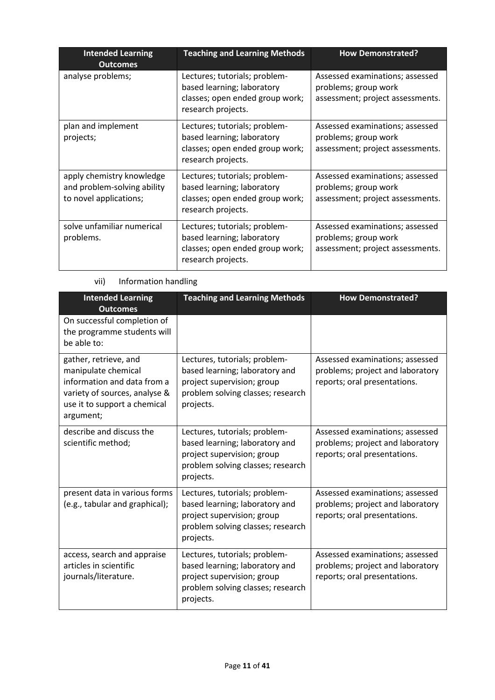| <b>Intended Learning</b><br><b>Outcomes</b>                                        | <b>Teaching and Learning Methods</b>                                                                                 | <b>How Demonstrated?</b>                                                                    |
|------------------------------------------------------------------------------------|----------------------------------------------------------------------------------------------------------------------|---------------------------------------------------------------------------------------------|
| analyse problems;                                                                  | Lectures; tutorials; problem-<br>based learning; laboratory<br>classes; open ended group work;<br>research projects. | Assessed examinations; assessed<br>problems; group work<br>assessment; project assessments. |
| plan and implement<br>projects;                                                    | Lectures; tutorials; problem-<br>based learning; laboratory<br>classes; open ended group work;<br>research projects. | Assessed examinations; assessed<br>problems; group work<br>assessment; project assessments. |
| apply chemistry knowledge<br>and problem-solving ability<br>to novel applications; | Lectures; tutorials; problem-<br>based learning; laboratory<br>classes; open ended group work;<br>research projects. | Assessed examinations; assessed<br>problems; group work<br>assessment; project assessments. |
| solve unfamiliar numerical<br>problems.                                            | Lectures; tutorials; problem-<br>based learning; laboratory<br>classes; open ended group work;<br>research projects. | Assessed examinations; assessed<br>problems; group work<br>assessment; project assessments. |

# vii) Information handling

| <b>Intended Learning</b><br><b>Outcomes</b>                                                                                                               | <b>Teaching and Learning Methods</b>                                                                                                            | <b>How Demonstrated?</b>                                                                            |
|-----------------------------------------------------------------------------------------------------------------------------------------------------------|-------------------------------------------------------------------------------------------------------------------------------------------------|-----------------------------------------------------------------------------------------------------|
| On successful completion of<br>the programme students will<br>be able to:                                                                                 |                                                                                                                                                 |                                                                                                     |
| gather, retrieve, and<br>manipulate chemical<br>information and data from a<br>variety of sources, analyse &<br>use it to support a chemical<br>argument; | Lectures, tutorials; problem-<br>based learning; laboratory and<br>project supervision; group<br>problem solving classes; research<br>projects. | Assessed examinations; assessed<br>problems; project and laboratory<br>reports; oral presentations. |
| describe and discuss the<br>scientific method;                                                                                                            | Lectures, tutorials; problem-<br>based learning; laboratory and<br>project supervision; group<br>problem solving classes; research<br>projects. | Assessed examinations; assessed<br>problems; project and laboratory<br>reports; oral presentations. |
| present data in various forms<br>(e.g., tabular and graphical);                                                                                           | Lectures, tutorials; problem-<br>based learning; laboratory and<br>project supervision; group<br>problem solving classes; research<br>projects. | Assessed examinations; assessed<br>problems; project and laboratory<br>reports; oral presentations. |
| access, search and appraise<br>articles in scientific<br>journals/literature.                                                                             | Lectures, tutorials; problem-<br>based learning; laboratory and<br>project supervision; group<br>problem solving classes; research<br>projects. | Assessed examinations; assessed<br>problems; project and laboratory<br>reports; oral presentations. |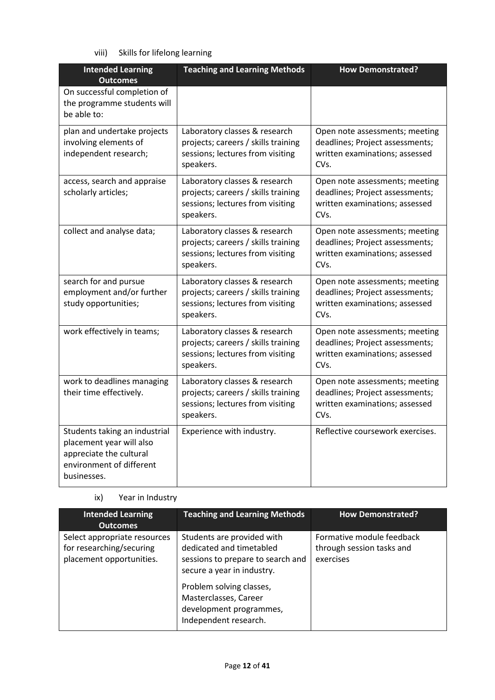viii) Skills for lifelong learning

| <b>Intended Learning</b><br><b>Outcomes</b>                                                                                     | <b>Teaching and Learning Methods</b>                                                                                  | <b>How Demonstrated?</b>                                                                                                 |
|---------------------------------------------------------------------------------------------------------------------------------|-----------------------------------------------------------------------------------------------------------------------|--------------------------------------------------------------------------------------------------------------------------|
| On successful completion of<br>the programme students will<br>be able to:                                                       |                                                                                                                       |                                                                                                                          |
| plan and undertake projects<br>involving elements of<br>independent research;                                                   | Laboratory classes & research<br>projects; careers / skills training<br>sessions; lectures from visiting<br>speakers. | Open note assessments; meeting<br>deadlines; Project assessments;<br>written examinations; assessed<br>CV <sub>s</sub> . |
| access, search and appraise<br>scholarly articles;                                                                              | Laboratory classes & research<br>projects; careers / skills training<br>sessions; lectures from visiting<br>speakers. | Open note assessments; meeting<br>deadlines; Project assessments;<br>written examinations; assessed<br>CVs.              |
| collect and analyse data;                                                                                                       | Laboratory classes & research<br>projects; careers / skills training<br>sessions; lectures from visiting<br>speakers. | Open note assessments; meeting<br>deadlines; Project assessments;<br>written examinations; assessed<br>CVs.              |
| search for and pursue<br>employment and/or further<br>study opportunities;                                                      | Laboratory classes & research<br>projects; careers / skills training<br>sessions; lectures from visiting<br>speakers. | Open note assessments; meeting<br>deadlines; Project assessments;<br>written examinations; assessed<br>CV <sub>s</sub> . |
| work effectively in teams;                                                                                                      | Laboratory classes & research<br>projects; careers / skills training<br>sessions; lectures from visiting<br>speakers. | Open note assessments; meeting<br>deadlines; Project assessments;<br>written examinations; assessed<br>CVs.              |
| work to deadlines managing<br>their time effectively.                                                                           | Laboratory classes & research<br>projects; careers / skills training<br>sessions; lectures from visiting<br>speakers. | Open note assessments; meeting<br>deadlines; Project assessments;<br>written examinations; assessed<br>CVs.              |
| Students taking an industrial<br>placement year will also<br>appreciate the cultural<br>environment of different<br>businesses. | Experience with industry.                                                                                             | Reflective coursework exercises.                                                                                         |

# ix) Year in Industry

| <b>Intended Learning</b><br><b>Outcomes</b>                                          | <b>Teaching and Learning Methods</b>                                                                                                                                                                                               | <b>How Demonstrated?</b>                                            |
|--------------------------------------------------------------------------------------|------------------------------------------------------------------------------------------------------------------------------------------------------------------------------------------------------------------------------------|---------------------------------------------------------------------|
| Select appropriate resources<br>for researching/securing<br>placement opportunities. | Students are provided with<br>dedicated and timetabled<br>sessions to prepare to search and<br>secure a year in industry.<br>Problem solving classes,<br>Masterclasses, Career<br>development programmes,<br>Independent research. | Formative module feedback<br>through session tasks and<br>exercises |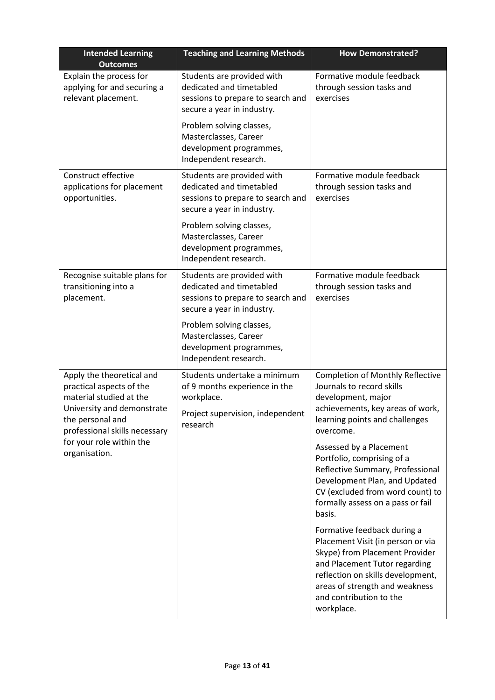| <b>Intended Learning</b><br><b>Outcomes</b>                                                                                                                         | <b>Teaching and Learning Methods</b>                                                                                        | <b>How Demonstrated?</b>                                                                                                                                                                                                                            |
|---------------------------------------------------------------------------------------------------------------------------------------------------------------------|-----------------------------------------------------------------------------------------------------------------------------|-----------------------------------------------------------------------------------------------------------------------------------------------------------------------------------------------------------------------------------------------------|
| Explain the process for<br>applying for and securing a<br>relevant placement.                                                                                       | Students are provided with<br>dedicated and timetabled<br>sessions to prepare to search and<br>secure a year in industry.   | Formative module feedback<br>through session tasks and<br>exercises                                                                                                                                                                                 |
|                                                                                                                                                                     | Problem solving classes,<br>Masterclasses, Career<br>development programmes,<br>Independent research.                       |                                                                                                                                                                                                                                                     |
| Construct effective<br>applications for placement<br>opportunities.                                                                                                 | Students are provided with<br>dedicated and timetabled<br>sessions to prepare to search and<br>secure a year in industry.   | Formative module feedback<br>through session tasks and<br>exercises                                                                                                                                                                                 |
|                                                                                                                                                                     | Problem solving classes,<br>Masterclasses, Career<br>development programmes,<br>Independent research.                       |                                                                                                                                                                                                                                                     |
| Recognise suitable plans for<br>transitioning into a<br>placement.                                                                                                  | Students are provided with<br>dedicated and timetabled<br>sessions to prepare to search and<br>secure a year in industry.   | Formative module feedback<br>through session tasks and<br>exercises                                                                                                                                                                                 |
|                                                                                                                                                                     | Problem solving classes,<br>Masterclasses, Career<br>development programmes,<br>Independent research.                       |                                                                                                                                                                                                                                                     |
| Apply the theoretical and<br>practical aspects of the<br>material studied at the<br>University and demonstrate<br>the personal and<br>professional skills necessary | Students undertake a minimum<br>of 9 months experience in the<br>workplace.<br>Project supervision, independent<br>research | <b>Completion of Monthly Reflective</b><br>Journals to record skills<br>development, major<br>achievements, key areas of work,<br>learning points and challenges<br>overcome.                                                                       |
| for your role within the<br>organisation.                                                                                                                           |                                                                                                                             | Assessed by a Placement<br>Portfolio, comprising of a<br>Reflective Summary, Professional<br>Development Plan, and Updated<br>CV (excluded from word count) to<br>formally assess on a pass or fail<br>basis.                                       |
|                                                                                                                                                                     |                                                                                                                             | Formative feedback during a<br>Placement Visit (in person or via<br>Skype) from Placement Provider<br>and Placement Tutor regarding<br>reflection on skills development,<br>areas of strength and weakness<br>and contribution to the<br>workplace. |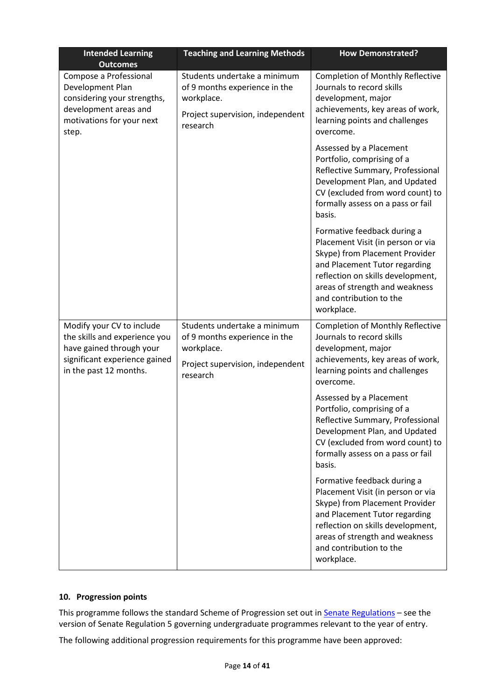| <b>Intended Learning</b><br><b>Outcomes</b>                                                                                                       | <b>Teaching and Learning Methods</b>                                                                                        | <b>How Demonstrated?</b>                                                                                                                                                                                                                            |
|---------------------------------------------------------------------------------------------------------------------------------------------------|-----------------------------------------------------------------------------------------------------------------------------|-----------------------------------------------------------------------------------------------------------------------------------------------------------------------------------------------------------------------------------------------------|
| Compose a Professional<br>Development Plan<br>considering your strengths,<br>development areas and<br>motivations for your next<br>step.          | Students undertake a minimum<br>of 9 months experience in the<br>workplace.<br>Project supervision, independent<br>research | <b>Completion of Monthly Reflective</b><br>Journals to record skills<br>development, major<br>achievements, key areas of work,<br>learning points and challenges<br>overcome.                                                                       |
|                                                                                                                                                   |                                                                                                                             | Assessed by a Placement<br>Portfolio, comprising of a<br>Reflective Summary, Professional<br>Development Plan, and Updated<br>CV (excluded from word count) to<br>formally assess on a pass or fail<br>basis.                                       |
|                                                                                                                                                   |                                                                                                                             | Formative feedback during a<br>Placement Visit (in person or via<br>Skype) from Placement Provider<br>and Placement Tutor regarding<br>reflection on skills development,<br>areas of strength and weakness<br>and contribution to the<br>workplace. |
| Modify your CV to include<br>the skills and experience you<br>have gained through your<br>significant experience gained<br>in the past 12 months. | Students undertake a minimum<br>of 9 months experience in the<br>workplace.<br>Project supervision, independent<br>research | <b>Completion of Monthly Reflective</b><br>Journals to record skills<br>development, major<br>achievements, key areas of work,<br>learning points and challenges<br>overcome.                                                                       |
|                                                                                                                                                   |                                                                                                                             | Assessed by a Placement<br>Portfolio, comprising of a<br>Reflective Summary, Professional<br>Development Plan, and Updated<br>CV (excluded from word count) to<br>formally assess on a pass or fail<br>basis.                                       |
|                                                                                                                                                   |                                                                                                                             | Formative feedback during a<br>Placement Visit (in person or via<br>Skype) from Placement Provider<br>and Placement Tutor regarding<br>reflection on skills development,<br>areas of strength and weakness<br>and contribution to the<br>workplace. |

### **10. Progression points**

This programme follows the standard Scheme of Progression set out in **Senate Regulations** - see the version of Senate Regulation 5 governing undergraduate programmes relevant to the year of entry.

The following additional progression requirements for this programme have been approved: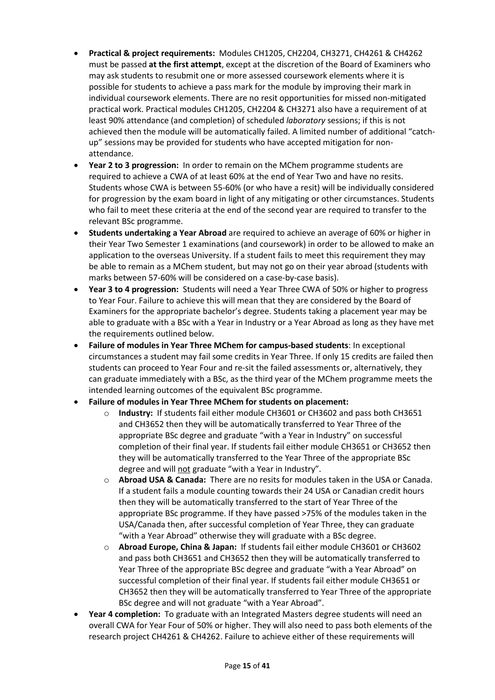- **Practical & project requirements:** Modules CH1205, CH2204, CH3271, CH4261 & CH4262 must be passed **at the first attempt**, except at the discretion of the Board of Examiners who may ask students to resubmit one or more assessed coursework elements where it is possible for students to achieve a pass mark for the module by improving their mark in individual coursework elements. There are no resit opportunities for missed non-mitigated practical work. Practical modules CH1205, CH2204 & CH3271 also have a requirement of at least 90% attendance (and completion) of scheduled *laboratory* sessions; if this is not achieved then the module will be automatically failed. A limited number of additional "catchup" sessions may be provided for students who have accepted mitigation for nonattendance.
- **Year 2 to 3 progression:** In order to remain on the MChem programme students are required to achieve a CWA of at least 60% at the end of Year Two and have no resits. Students whose CWA is between 55-60% (or who have a resit) will be individually considered for progression by the exam board in light of any mitigating or other circumstances. Students who fail to meet these criteria at the end of the second year are required to transfer to the relevant BSc programme.
- **Students undertaking a Year Abroad** are required to achieve an average of 60% or higher in their Year Two Semester 1 examinations (and coursework) in order to be allowed to make an application to the overseas University. If a student fails to meet this requirement they may be able to remain as a MChem student, but may not go on their year abroad (students with marks between 57-60% will be considered on a case-by-case basis).
- **Year 3 to 4 progression:** Students will need a Year Three CWA of 50% or higher to progress to Year Four. Failure to achieve this will mean that they are considered by the Board of Examiners for the appropriate bachelor's degree. Students taking a placement year may be able to graduate with a BSc with a Year in Industry or a Year Abroad as long as they have met the requirements outlined below.
- **Failure of modules in Year Three MChem for campus-based students**: In exceptional circumstances a student may fail some credits in Year Three. If only 15 credits are failed then students can proceed to Year Four and re-sit the failed assessments or, alternatively, they can graduate immediately with a BSc, as the third year of the MChem programme meets the intended learning outcomes of the equivalent BSc programme.
- **Failure of modules in Year Three MChem for students on placement:**
	- o **Industry:** If students fail either module CH3601 or CH3602 and pass both CH3651 and CH3652 then they will be automatically transferred to Year Three of the appropriate BSc degree and graduate "with a Year in Industry" on successful completion of their final year. If students fail either module CH3651 or CH3652 then they will be automatically transferred to the Year Three of the appropriate BSc degree and will not graduate "with a Year in Industry".
	- o **Abroad USA & Canada:** There are no resits for modules taken in the USA or Canada. If a student fails a module counting towards their 24 USA or Canadian credit hours then they will be automatically transferred to the start of Year Three of the appropriate BSc programme. If they have passed >75% of the modules taken in the USA/Canada then, after successful completion of Year Three, they can graduate "with a Year Abroad" otherwise they will graduate with a BSc degree.
	- o **Abroad Europe, China & Japan:** If students fail either module CH3601 or CH3602 and pass both CH3651 and CH3652 then they will be automatically transferred to Year Three of the appropriate BSc degree and graduate "with a Year Abroad" on successful completion of their final year. If students fail either module CH3651 or CH3652 then they will be automatically transferred to Year Three of the appropriate BSc degree and will not graduate "with a Year Abroad".
- **Year 4 completion:** To graduate with an Integrated Masters degree students will need an overall CWA for Year Four of 50% or higher. They will also need to pass both elements of the research project CH4261 & CH4262. Failure to achieve either of these requirements will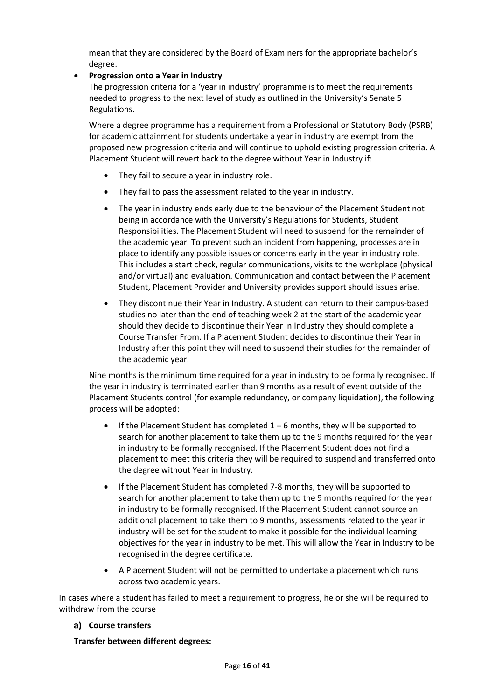mean that they are considered by the Board of Examiners for the appropriate bachelor's degree.

#### • **Progression onto a Year in Industry**

The progression criteria for a 'year in industry' programme is to meet the requirements needed to progress to the next level of study as outlined in the University's Senate 5 Regulations.

Where a degree programme has a requirement from a Professional or Statutory Body (PSRB) for academic attainment for students undertake a year in industry are exempt from the proposed new progression criteria and will continue to uphold existing progression criteria. A Placement Student will revert back to the degree without Year in Industry if:

- They fail to secure a year in industry role.
- They fail to pass the assessment related to the year in industry.
- The year in industry ends early due to the behaviour of the Placement Student not being in accordance with the University's Regulations for Students, Student Responsibilities. The Placement Student will need to suspend for the remainder of the academic year. To prevent such an incident from happening, processes are in place to identify any possible issues or concerns early in the year in industry role. This includes a start check, regular communications, visits to the workplace (physical and/or virtual) and evaluation. Communication and contact between the Placement Student, Placement Provider and University provides support should issues arise.
- They discontinue their Year in Industry. A student can return to their campus-based studies no later than the end of teaching week 2 at the start of the academic year should they decide to discontinue their Year in Industry they should complete a Course Transfer From. If a Placement Student decides to discontinue their Year in Industry after this point they will need to suspend their studies for the remainder of the academic year.

Nine months is the minimum time required for a year in industry to be formally recognised. If the year in industry is terminated earlier than 9 months as a result of event outside of the Placement Students control (for example redundancy, or company liquidation), the following process will be adopted:

- If the Placement Student has completed  $1-6$  months, they will be supported to search for another placement to take them up to the 9 months required for the year in industry to be formally recognised. If the Placement Student does not find a placement to meet this criteria they will be required to suspend and transferred onto the degree without Year in Industry.
- If the Placement Student has completed 7-8 months, they will be supported to search for another placement to take them up to the 9 months required for the year in industry to be formally recognised. If the Placement Student cannot source an additional placement to take them to 9 months, assessments related to the year in industry will be set for the student to make it possible for the individual learning objectives for the year in industry to be met. This will allow the Year in Industry to be recognised in the degree certificate.
- A Placement Student will not be permitted to undertake a placement which runs across two academic years.

In cases where a student has failed to meet a requirement to progress, he or she will be required to withdraw from the course

#### **Course transfers**

**Transfer between different degrees:**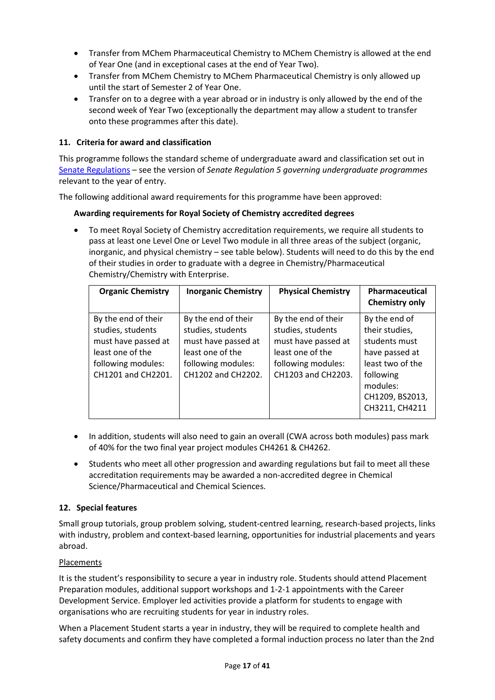- Transfer from MChem Pharmaceutical Chemistry to MChem Chemistry is allowed at the end of Year One (and in exceptional cases at the end of Year Two).
- Transfer from MChem Chemistry to MChem Pharmaceutical Chemistry is only allowed up until the start of Semester 2 of Year One.
- Transfer on to a degree with a year abroad or in industry is only allowed by the end of the second week of Year Two (exceptionally the department may allow a student to transfer onto these programmes after this date).

### **11. Criteria for award and classification**

This programme follows the standard scheme of undergraduate award and classification set out in [Senate Regulations](http://www.le.ac.uk/senate-regulations) – see the version of *Senate Regulation 5 governing undergraduate programmes* relevant to the year of entry.

The following additional award requirements for this programme have been approved:

#### **Awarding requirements for Royal Society of Chemistry accredited degrees**

• To meet Royal Society of Chemistry accreditation requirements, we require all students to pass at least one Level One or Level Two module in all three areas of the subject (organic, inorganic, and physical chemistry – see table below). Students will need to do this by the end of their studies in order to graduate with a degree in Chemistry/Pharmaceutical Chemistry/Chemistry with Enterprise.

| <b>Organic Chemistry</b>                                                                                                        | <b>Inorganic Chemistry</b>                                                                                                      | <b>Physical Chemistry</b>                                                                                                       | Pharmaceutical<br><b>Chemistry only</b>                                                                                                              |
|---------------------------------------------------------------------------------------------------------------------------------|---------------------------------------------------------------------------------------------------------------------------------|---------------------------------------------------------------------------------------------------------------------------------|------------------------------------------------------------------------------------------------------------------------------------------------------|
| By the end of their<br>studies, students<br>must have passed at<br>least one of the<br>following modules:<br>CH1201 and CH2201. | By the end of their<br>studies, students<br>must have passed at<br>least one of the<br>following modules:<br>CH1202 and CH2202. | By the end of their<br>studies, students<br>must have passed at<br>least one of the<br>following modules:<br>CH1203 and CH2203. | By the end of<br>their studies,<br>students must<br>have passed at<br>least two of the<br>following<br>modules:<br>CH1209, BS2013,<br>CH3211, CH4211 |

- In addition, students will also need to gain an overall (CWA across both modules) pass mark of 40% for the two final year project modules CH4261 & CH4262.
- Students who meet all other progression and awarding regulations but fail to meet all these accreditation requirements may be awarded a non-accredited degree in Chemical Science/Pharmaceutical and Chemical Sciences.

#### **12. Special features**

Small group tutorials, group problem solving, student-centred learning, research-based projects, links with industry, problem and context-based learning, opportunities for industrial placements and years abroad.

#### Placements

It is the student's responsibility to secure a year in industry role. Students should attend Placement Preparation modules, additional support workshops and 1-2-1 appointments with the Career Development Service. Employer led activities provide a platform for students to engage with organisations who are recruiting students for year in industry roles.

When a Placement Student starts a year in industry, they will be required to complete health and safety documents and confirm they have completed a formal induction process no later than the 2nd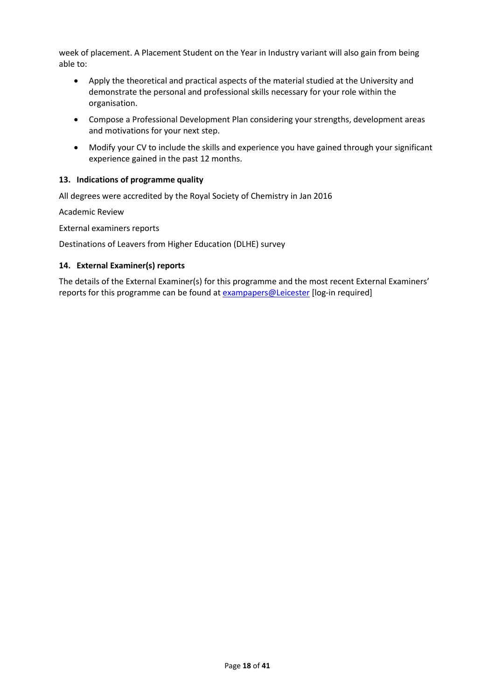week of placement. A Placement Student on the Year in Industry variant will also gain from being able to:

- Apply the theoretical and practical aspects of the material studied at the University and demonstrate the personal and professional skills necessary for your role within the organisation.
- Compose a Professional Development Plan considering your strengths, development areas and motivations for your next step.
- Modify your CV to include the skills and experience you have gained through your significant experience gained in the past 12 months.

### **13. Indications of programme quality**

All degrees were accredited by the Royal Society of Chemistry in Jan 2016

Academic Review

External examiners reports

Destinations of Leavers from Higher Education (DLHE) survey

#### **14. External Examiner(s) reports**

The details of the External Examiner(s) for this programme and the most recent External Examiners' reports for this programme can be found at **[exampapers@Leicester](https://exampapers.le.ac.uk/)** [log-in required]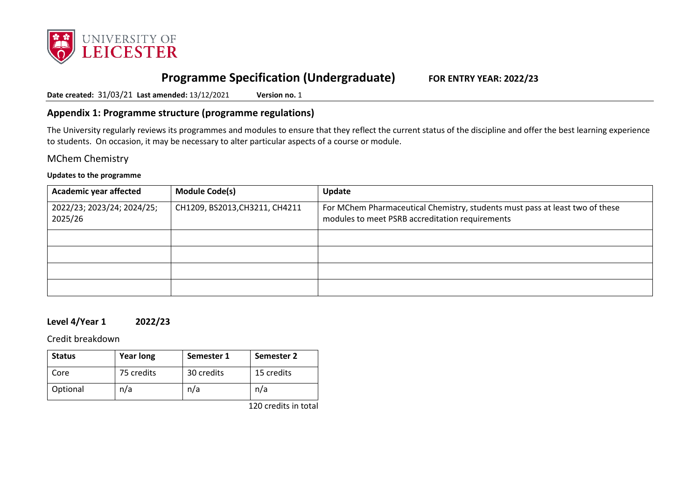

# **Programme Specification (Undergraduate) FOR ENTRY YEAR: 2022/23**

**Date created:** 31/03/21 **Last amended:** 13/12/2021 **Version no.** 1

### **Appendix 1: Programme structure (programme regulations)**

The University regularly reviews its programmes and modules to ensure that they reflect the current status of the discipline and offer the best learning experience to students. On occasion, it may be necessary to alter particular aspects of a course or module.

MChem Chemistry

#### **Updates to the programme**

| <b>Academic year affected</b>         | <b>Module Code(s)</b>          | Update                                                                                                                          |
|---------------------------------------|--------------------------------|---------------------------------------------------------------------------------------------------------------------------------|
| 2022/23; 2023/24; 2024/25;<br>2025/26 | CH1209, BS2013, CH3211, CH4211 | For MChem Pharmaceutical Chemistry, students must pass at least two of these<br>modules to meet PSRB accreditation requirements |
|                                       |                                |                                                                                                                                 |
|                                       |                                |                                                                                                                                 |
|                                       |                                |                                                                                                                                 |
|                                       |                                |                                                                                                                                 |

### **Level 4/Year 1 2022/23**

Credit breakdown

| <b>Status</b> | <b>Year long</b> | Semester 1 | Semester 2 |
|---------------|------------------|------------|------------|
| Core          | 75 credits       | 30 credits | 15 credits |
| Optional      | n/a              | n/a        | n/a        |

120 credits in total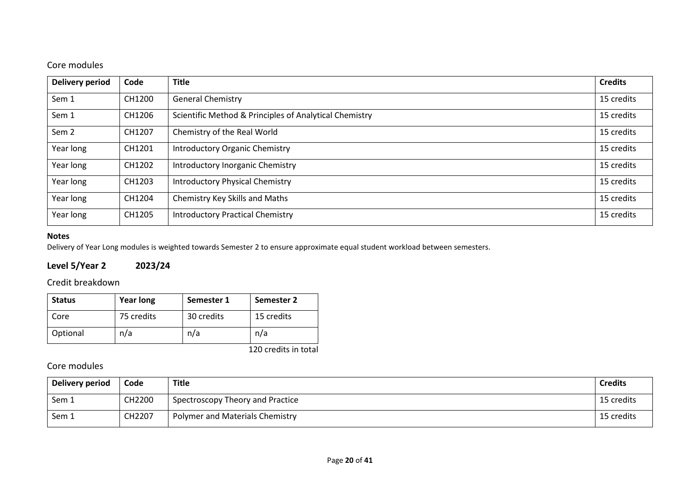# Core modules

| <b>Delivery period</b> | Code   | <b>Title</b>                                           | <b>Credits</b> |
|------------------------|--------|--------------------------------------------------------|----------------|
| Sem 1                  | CH1200 | <b>General Chemistry</b>                               | 15 credits     |
| Sem 1                  | CH1206 | Scientific Method & Principles of Analytical Chemistry | 15 credits     |
| Sem <sub>2</sub>       | CH1207 | Chemistry of the Real World                            | 15 credits     |
| Year long              | CH1201 | <b>Introductory Organic Chemistry</b>                  | 15 credits     |
| Year long              | CH1202 | Introductory Inorganic Chemistry                       | 15 credits     |
| Year long              | CH1203 | <b>Introductory Physical Chemistry</b>                 | 15 credits     |
| Year long              | CH1204 | Chemistry Key Skills and Maths                         | 15 credits     |
| Year long              | CH1205 | <b>Introductory Practical Chemistry</b>                | 15 credits     |

### **Notes**

Delivery of Year Long modules is weighted towards Semester 2 to ensure approximate equal student workload between semesters.

# **Level 5/Year 2 2023/24**

### Credit breakdown

| <b>Status</b> | <b>Year long</b> | Semester 1 | Semester 2 |
|---------------|------------------|------------|------------|
| Core          | 75 credits       | 30 credits | 15 credits |
| Optional      | n/a              | n/a        | n/a        |

120 credits in total

| Delivery period | Code   | Title                                  | <b>Credits</b> |
|-----------------|--------|----------------------------------------|----------------|
| Sem 1           | CH2200 | Spectroscopy Theory and Practice       | 15 credits     |
| Sem 1           | CH2207 | <b>Polymer and Materials Chemistry</b> | 15 credits     |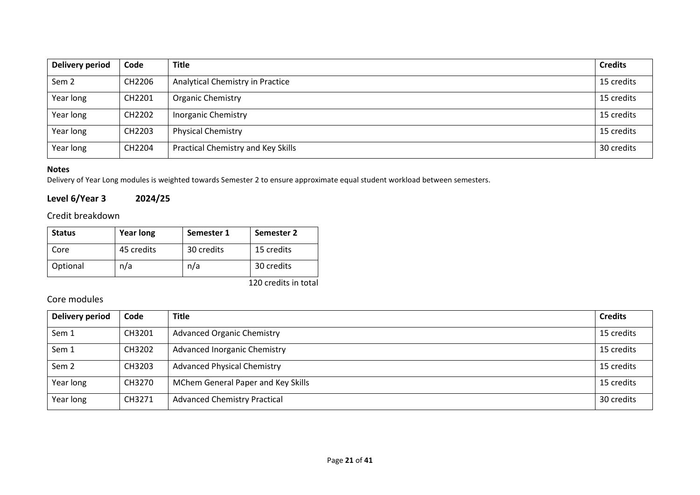| Delivery period  | Code   | <b>Title</b>                       | <b>Credits</b> |
|------------------|--------|------------------------------------|----------------|
| Sem <sub>2</sub> | CH2206 | Analytical Chemistry in Practice   | 15 credits     |
| Year long        | CH2201 | <b>Organic Chemistry</b>           | 15 credits     |
| Year long        | CH2202 | <b>Inorganic Chemistry</b>         | 15 credits     |
| Year long        | CH2203 | <b>Physical Chemistry</b>          | 15 credits     |
| Year long        | CH2204 | Practical Chemistry and Key Skills | 30 credits     |

Delivery of Year Long modules is weighted towards Semester 2 to ensure approximate equal student workload between semesters.

# **Level 6/Year 3 2024/25**

# Credit breakdown

| <b>Status</b> | <b>Year long</b> | Semester 1 | Semester 2      |
|---------------|------------------|------------|-----------------|
| Core          | 45 credits       | 30 credits | 15 credits      |
| Optional      | n/a              | n/a        | 30 credits      |
|               |                  |            | $1.20 \pm 1.11$ |

120 credits in total

| <b>Delivery period</b> | Code   | <b>Title</b>                        | <b>Credits</b> |
|------------------------|--------|-------------------------------------|----------------|
| Sem 1                  | CH3201 | <b>Advanced Organic Chemistry</b>   | 15 credits     |
| Sem 1                  | CH3202 | <b>Advanced Inorganic Chemistry</b> | 15 credits     |
| Sem <sub>2</sub>       | CH3203 | <b>Advanced Physical Chemistry</b>  | 15 credits     |
| Year long              | CH3270 | MChem General Paper and Key Skills  | 15 credits     |
| Year long              | CH3271 | <b>Advanced Chemistry Practical</b> | 30 credits     |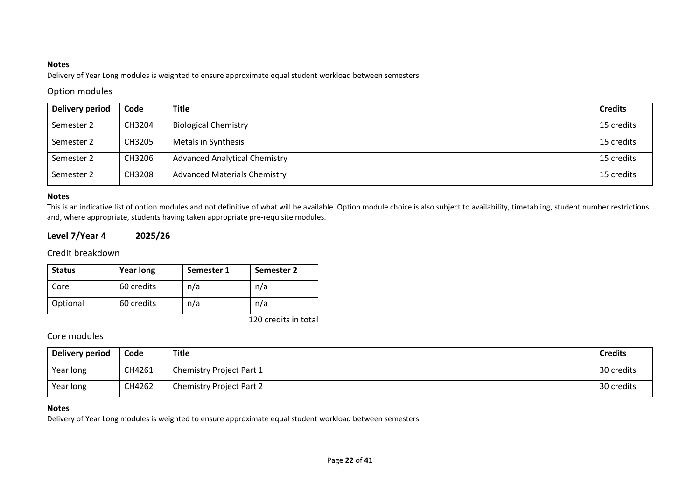Delivery of Year Long modules is weighted to ensure approximate equal student workload between semesters.

### Option modules

| Delivery period | Code   | <b>Title</b>                         | <b>Credits</b> |
|-----------------|--------|--------------------------------------|----------------|
| Semester 2      | CH3204 | <b>Biological Chemistry</b>          | 15 credits     |
| Semester 2      | CH3205 | Metals in Synthesis                  | 15 credits     |
| Semester 2      | CH3206 | <b>Advanced Analytical Chemistry</b> | 15 credits     |
| Semester 2      | CH3208 | <b>Advanced Materials Chemistry</b>  | 15 credits     |

#### **Notes**

This is an indicative list of option modules and not definitive of what will be available. Option module choice is also subject to availability, timetabling, student number restrictions and, where appropriate, students having taken appropriate pre-requisite modules.

# **Level 7/Year 4 2025/26**

#### Credit breakdown

| <b>Status</b> | <b>Year long</b> | Semester 1 | Semester 2           |
|---------------|------------------|------------|----------------------|
| Core          | 60 credits       | n/a        | n/a                  |
| Optional      | 60 credits       | n/a        | n/a                  |
|               |                  |            | 120 credits in total |

# Core modules

| Delivery period | Code   | <b>Title</b>                    | <b>Credits</b> |
|-----------------|--------|---------------------------------|----------------|
| Year long       | CH4261 | Chemistry Project Part 1        | 30 credits     |
| Year long       | CH4262 | <b>Chemistry Project Part 2</b> | 30 credits     |

#### **Notes**

Delivery of Year Long modules is weighted to ensure approximate equal student workload between semesters.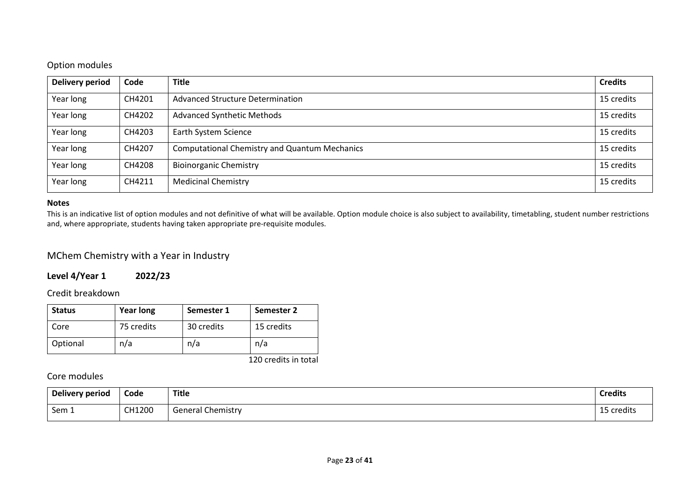## Option modules

| <b>Delivery period</b> | Code   | <b>Title</b>                                         | <b>Credits</b> |
|------------------------|--------|------------------------------------------------------|----------------|
| Year long              | CH4201 | Advanced Structure Determination                     | 15 credits     |
| Year long              | CH4202 | <b>Advanced Synthetic Methods</b>                    | 15 credits     |
| Year long              | CH4203 | Earth System Science                                 | 15 credits     |
| Year long              | CH4207 | <b>Computational Chemistry and Quantum Mechanics</b> | 15 credits     |
| Year long              | CH4208 | <b>Bioinorganic Chemistry</b>                        | 15 credits     |
| Year long              | CH4211 | <b>Medicinal Chemistry</b>                           | 15 credits     |

#### **Notes**

This is an indicative list of option modules and not definitive of what will be available. Option module choice is also subject to availability, timetabling, student number restrictions and, where appropriate, students having taken appropriate pre-requisite modules.

## MChem Chemistry with a Year in Industry

### **Level 4/Year 1 2022/23**

#### Credit breakdown

| <b>Status</b> | <b>Year long</b> | Semester 1 | Semester 2 |
|---------------|------------------|------------|------------|
| Core          | 75 credits       | 30 credits | 15 credits |
| Optional      | n/a              | n/a        | n/a        |

120 credits in total

| Delivery period | Code   | Title                  | <b>Credits</b> |
|-----------------|--------|------------------------|----------------|
| Sem 1           | CH1200 | Chemistry<br>General C | credits        |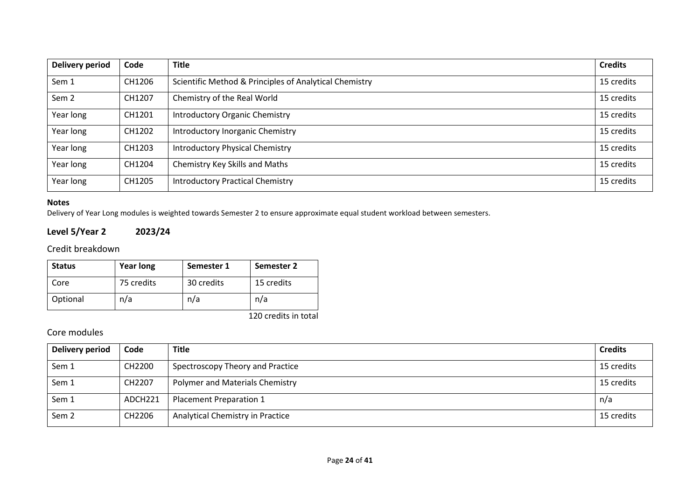| <b>Delivery period</b> | Code   | <b>Title</b>                                           | <b>Credits</b> |
|------------------------|--------|--------------------------------------------------------|----------------|
| Sem 1                  | CH1206 | Scientific Method & Principles of Analytical Chemistry | 15 credits     |
| Sem <sub>2</sub>       | CH1207 | Chemistry of the Real World                            | 15 credits     |
| Year long              | CH1201 | <b>Introductory Organic Chemistry</b>                  | 15 credits     |
| Year long              | CH1202 | Introductory Inorganic Chemistry                       | 15 credits     |
| Year long              | CH1203 | <b>Introductory Physical Chemistry</b>                 | 15 credits     |
| Year long              | CH1204 | Chemistry Key Skills and Maths                         | 15 credits     |
| Year long              | CH1205 | <b>Introductory Practical Chemistry</b>                | 15 credits     |

#### **Notes** Delivery of Year Long modules is weighted towards Semester 2 to ensure approximate equal student workload between semesters.

**Level 5/Year 2 2023/24**

Credit breakdown

| <b>Status</b> | <b>Year long</b> | Semester 1 | Semester 2 |
|---------------|------------------|------------|------------|
| Core          | 75 credits       | 30 credits | 15 credits |
| Optional      | n/a              | n/a        | n/a        |

120 credits in total

| <b>Delivery period</b> | Code    | <b>Title</b>                     | <b>Credits</b> |
|------------------------|---------|----------------------------------|----------------|
| Sem 1                  | CH2200  | Spectroscopy Theory and Practice | 15 credits     |
| Sem 1                  | CH2207  | Polymer and Materials Chemistry  | 15 credits     |
| Sem 1                  | ADCH221 | Placement Preparation 1          | n/a            |
| Sem <sub>2</sub>       | CH2206  | Analytical Chemistry in Practice | 15 credits     |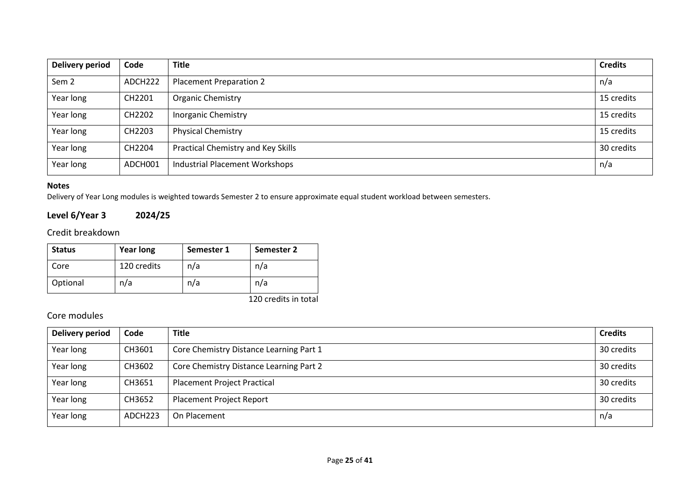| <b>Delivery period</b> | Code                | <b>Title</b>                          | <b>Credits</b> |
|------------------------|---------------------|---------------------------------------|----------------|
| Sem 2                  | ADCH <sub>222</sub> | <b>Placement Preparation 2</b>        | n/a            |
| Year long              | CH2201              | <b>Organic Chemistry</b>              | 15 credits     |
| Year long              | CH2202              | <b>Inorganic Chemistry</b>            | 15 credits     |
| Year long              | CH2203              | <b>Physical Chemistry</b>             | 15 credits     |
| Year long              | CH2204              | Practical Chemistry and Key Skills    | 30 credits     |
| Year long              | ADCH001             | <b>Industrial Placement Workshops</b> | n/a            |

Delivery of Year Long modules is weighted towards Semester 2 to ensure approximate equal student workload between semesters.

# **Level 6/Year 3 2024/25**

Credit breakdown

|          | <b>Year long</b> | Semester 1 | Semester 2 |
|----------|------------------|------------|------------|
| Core     | 120 credits      | n/a        | n/a        |
| Optional | n/a              | n/a        | n/a        |

120 credits in total

| Delivery period | Code    | <b>Title</b>                            | <b>Credits</b> |
|-----------------|---------|-----------------------------------------|----------------|
| Year long       | CH3601  | Core Chemistry Distance Learning Part 1 | 30 credits     |
| Year long       | CH3602  | Core Chemistry Distance Learning Part 2 | 30 credits     |
| Year long       | CH3651  | <b>Placement Project Practical</b>      | 30 credits     |
| Year long       | CH3652  | <b>Placement Project Report</b>         | 30 credits     |
| Year long       | ADCH223 | On Placement                            | n/a            |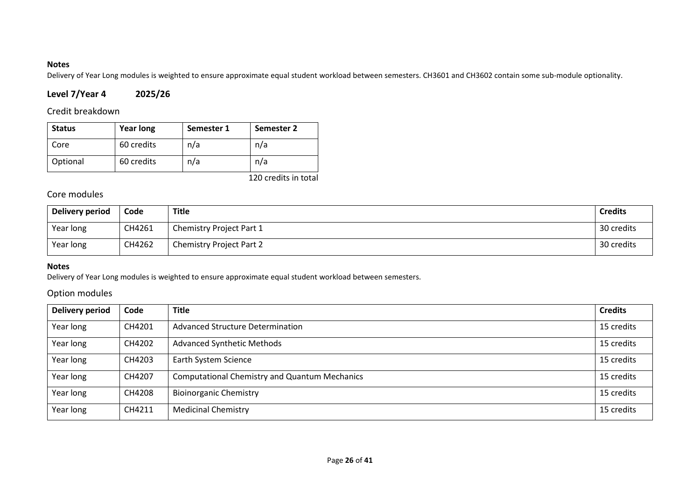Delivery of Year Long modules is weighted to ensure approximate equal student workload between semesters. CH3601 and CH3602 contain some sub-module optionality.

# **Level 7/Year 4 2025/26**

### Credit breakdown

| <b>Status</b> | <b>Year long</b> | Semester 1 | <b>Semester 2</b> |
|---------------|------------------|------------|-------------------|
| Core          | 60 credits       | n/a        | n/a               |
| Optional      | 60 credits       | n/a        | n/a               |

120 credits in total

# Core modules

| Delivery period | Code   | <b>Title</b>                    | <b>Credits</b> |
|-----------------|--------|---------------------------------|----------------|
| Year long       | CH4261 | <b>Chemistry Project Part 1</b> | 30 credits     |
| Year long       | CH4262 | <b>Chemistry Project Part 2</b> | 30 credits     |

### **Notes**

Delivery of Year Long modules is weighted to ensure approximate equal student workload between semesters.

### Option modules

| Delivery period | Code   | <b>Title</b>                                         | <b>Credits</b> |
|-----------------|--------|------------------------------------------------------|----------------|
| Year long       | CH4201 | <b>Advanced Structure Determination</b>              | 15 credits     |
| Year long       | CH4202 | <b>Advanced Synthetic Methods</b>                    | 15 credits     |
| Year long       | CH4203 | Earth System Science                                 | 15 credits     |
| Year long       | CH4207 | <b>Computational Chemistry and Quantum Mechanics</b> | 15 credits     |
| Year long       | CH4208 | <b>Bioinorganic Chemistry</b>                        | 15 credits     |
| Year long       | CH4211 | <b>Medicinal Chemistry</b>                           | 15 credits     |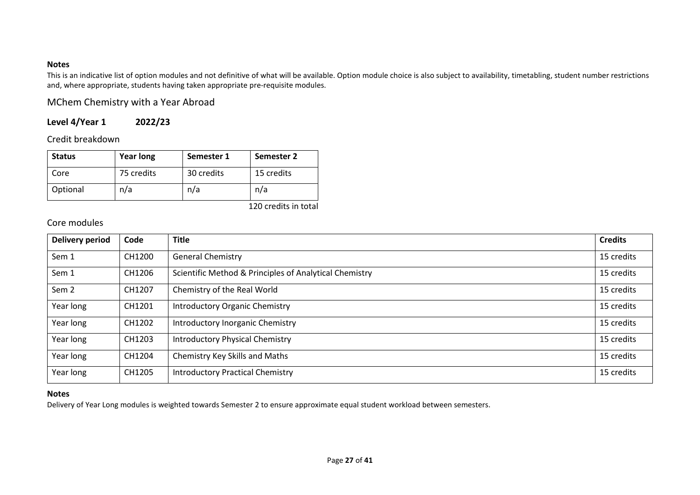This is an indicative list of option modules and not definitive of what will be available. Option module choice is also subject to availability, timetabling, student number restrictions and, where appropriate, students having taken appropriate pre-requisite modules.

## MChem Chemistry with a Year Abroad

# **Level 4/Year 1 2022/23**

Credit breakdown

| <b>Status</b> | <b>Year long</b> | Semester 1 | Semester 2 |
|---------------|------------------|------------|------------|
| Core          | 75 credits       | 30 credits | 15 credits |
| Optional      | n/a              | n/a        | n/a        |

#### 120 credits in total

### Core modules

| <b>Delivery period</b> | Code   | <b>Title</b>                                           | <b>Credits</b> |
|------------------------|--------|--------------------------------------------------------|----------------|
| Sem 1                  | CH1200 | <b>General Chemistry</b>                               | 15 credits     |
| Sem 1                  | CH1206 | Scientific Method & Principles of Analytical Chemistry | 15 credits     |
| Sem <sub>2</sub>       | CH1207 | Chemistry of the Real World                            | 15 credits     |
| Year long              | CH1201 | <b>Introductory Organic Chemistry</b>                  | 15 credits     |
| Year long              | CH1202 | Introductory Inorganic Chemistry                       | 15 credits     |
| Year long              | CH1203 | <b>Introductory Physical Chemistry</b>                 | 15 credits     |
| Year long              | CH1204 | Chemistry Key Skills and Maths                         | 15 credits     |
| Year long              | CH1205 | <b>Introductory Practical Chemistry</b>                | 15 credits     |

#### **Notes**

Delivery of Year Long modules is weighted towards Semester 2 to ensure approximate equal student workload between semesters.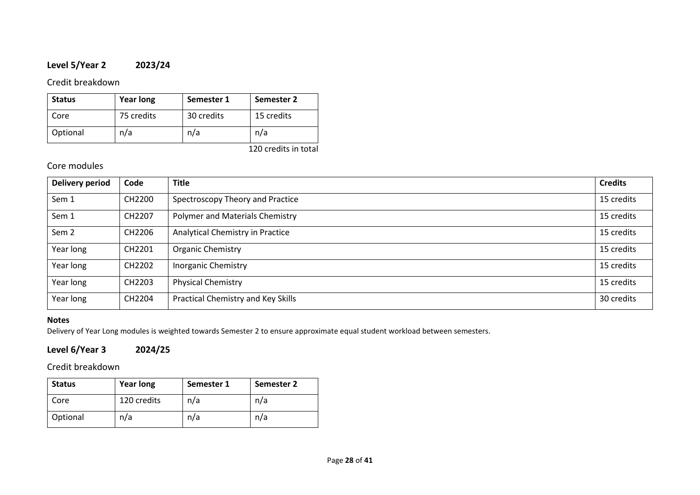# **Level 5/Year 2 2023/24**

### Credit breakdown

| <b>Status</b> | <b>Year long</b> | Semester 1 | Semester 2 |
|---------------|------------------|------------|------------|
| Core          | 75 credits       | 30 credits | 15 credits |
| Optional      | n/a              | n/a        | n/a        |

120 credits in total

## Core modules

| <b>Delivery period</b> | Code   | <b>Title</b>                       | <b>Credits</b> |
|------------------------|--------|------------------------------------|----------------|
| Sem 1                  | CH2200 | Spectroscopy Theory and Practice   | 15 credits     |
| Sem 1                  | CH2207 | Polymer and Materials Chemistry    | 15 credits     |
| Sem <sub>2</sub>       | CH2206 | Analytical Chemistry in Practice   | 15 credits     |
| Year long              | CH2201 | Organic Chemistry                  | 15 credits     |
| Year long              | CH2202 | <b>Inorganic Chemistry</b>         | 15 credits     |
| Year long              | CH2203 | <b>Physical Chemistry</b>          | 15 credits     |
| Year long              | CH2204 | Practical Chemistry and Key Skills | 30 credits     |

### **Notes**

Delivery of Year Long modules is weighted towards Semester 2 to ensure approximate equal student workload between semesters.

# **Level 6/Year 3 2024/25**

Credit breakdown

| <b>Status</b> | <b>Year long</b> | Semester 1 | Semester 2 |
|---------------|------------------|------------|------------|
| Core          | 120 credits      | n/a        | n/a        |
| Optional      | n/a              | n/a        | n/a        |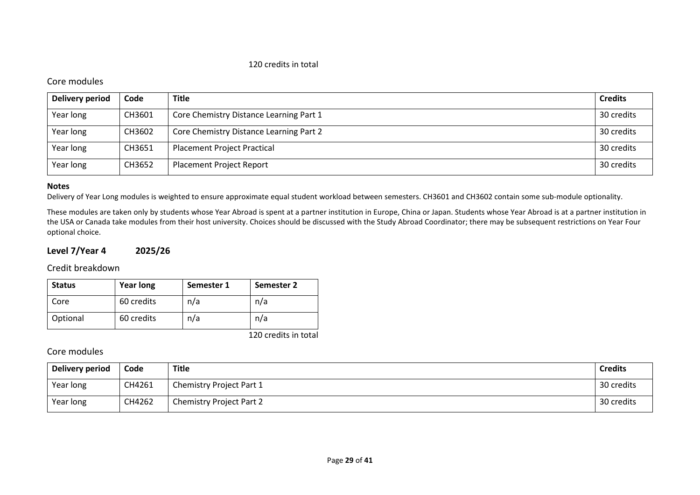#### 120 credits in total

#### Core modules

| Delivery period | Code   | <b>Title</b>                            | <b>Credits</b> |
|-----------------|--------|-----------------------------------------|----------------|
| Year long       | CH3601 | Core Chemistry Distance Learning Part 1 | 30 credits     |
| Year long       | CH3602 | Core Chemistry Distance Learning Part 2 | 30 credits     |
| Year long       | CH3651 | <b>Placement Project Practical</b>      | 30 credits     |
| Year long       | CH3652 | <b>Placement Project Report</b>         | 30 credits     |

#### **Notes**

Delivery of Year Long modules is weighted to ensure approximate equal student workload between semesters. CH3601 and CH3602 contain some sub-module optionality.

These modules are taken only by students whose Year Abroad is spent at a partner institution in Europe, China or Japan. Students whose Year Abroad is at a partner institution in the USA or Canada take modules from their host university. Choices should be discussed with the Study Abroad Coordinator; there may be subsequent restrictions on Year Four optional choice.

### **Level 7/Year 4 2025/26**

Credit breakdown

| <b>Status</b> | <b>Year long</b> | Semester 1 | Semester 2 |
|---------------|------------------|------------|------------|
| Core          | 60 credits       | n/a        | n/a        |
| Optional      | 60 credits       | n/a        | n/a        |

120 credits in total

| Delivery period | Code   | Title                           | <b>Credits</b> |
|-----------------|--------|---------------------------------|----------------|
| Year long       | CH4261 | Chemistry Project Part 1        | 30 credits     |
| Year long       | CH4262 | <b>Chemistry Project Part 2</b> | 30 credits     |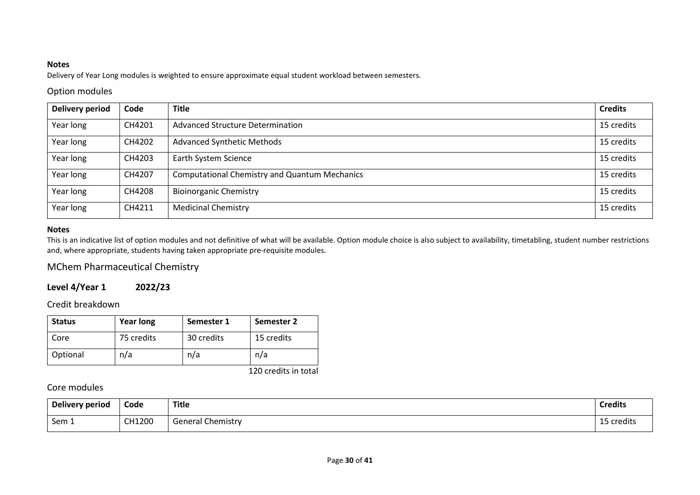Delivery of Year Long modules is weighted to ensure approximate equal student workload between semesters.

### Option modules

| <b>Delivery period</b> | Code   | <b>Title</b>                                         | <b>Credits</b> |
|------------------------|--------|------------------------------------------------------|----------------|
| Year long              | CH4201 | Advanced Structure Determination                     | 15 credits     |
| Year long              | CH4202 | <b>Advanced Synthetic Methods</b>                    | 15 credits     |
| Year long              | CH4203 | Earth System Science                                 | 15 credits     |
| Year long              | CH4207 | <b>Computational Chemistry and Quantum Mechanics</b> | 15 credits     |
| Year long              | CH4208 | <b>Bioinorganic Chemistry</b>                        | 15 credits     |
| Year long              | CH4211 | <b>Medicinal Chemistry</b>                           | 15 credits     |

### **Notes**

This is an indicative list of option modules and not definitive of what will be available. Option module choice is also subject to availability, timetabling, student number restrictions and, where appropriate, students having taken appropriate pre-requisite modules.

# MChem Pharmaceutical Chemistry

# **Level 4/Year 1 2022/23**

Credit breakdown

| <b>Status</b> | <b>Year long</b> | Semester 1 | Semester 2 |
|---------------|------------------|------------|------------|
| Core          | 75 credits       | 30 credits | 15 credits |
| Optional      | n/a              | n/a        | n/a        |

120 credits in total

| Delivery period    | Code   | <b>Title</b>             | <b>Credits</b>                         |
|--------------------|--------|--------------------------|----------------------------------------|
| Sem $\overline{ }$ | CH1200 | <b>General Chemistry</b> | $\sim$ $\sim$<br>$ C^{r}$<br>, credits |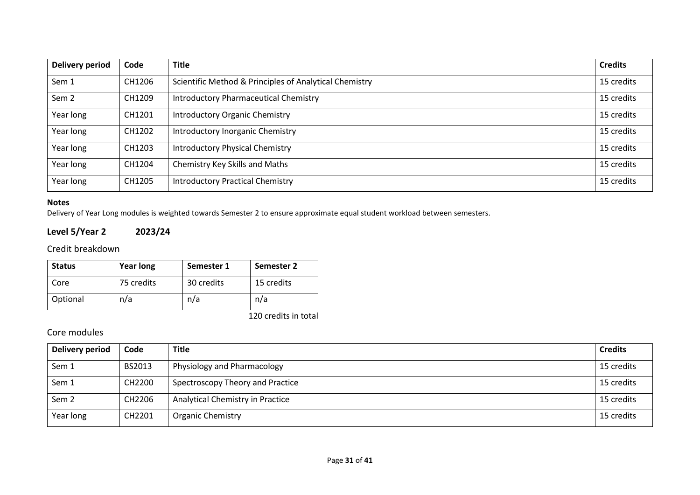| <b>Delivery period</b> | Code   | <b>Title</b>                                           | <b>Credits</b> |
|------------------------|--------|--------------------------------------------------------|----------------|
| Sem 1                  | CH1206 | Scientific Method & Principles of Analytical Chemistry | 15 credits     |
| Sem <sub>2</sub>       | CH1209 | <b>Introductory Pharmaceutical Chemistry</b>           | 15 credits     |
| Year long              | CH1201 | <b>Introductory Organic Chemistry</b>                  | 15 credits     |
| Year long              | CH1202 | Introductory Inorganic Chemistry                       | 15 credits     |
| Year long              | CH1203 | <b>Introductory Physical Chemistry</b>                 | 15 credits     |
| Year long              | CH1204 | Chemistry Key Skills and Maths                         | 15 credits     |
| Year long              | CH1205 | <b>Introductory Practical Chemistry</b>                | 15 credits     |

**Level 5/Year 2 2023/24**

Credit breakdown

| <b>Status</b> | <b>Year long</b> | Semester 1 | Semester 2 |
|---------------|------------------|------------|------------|
| Core          | 75 credits       | 30 credits | 15 credits |
| Optional      | n/a              | n/a        | n/a        |

120 credits in total

Delivery of Year Long modules is weighted towards Semester 2 to ensure approximate equal student workload between semesters.

| <b>Delivery period</b> | Code   | <b>Title</b>                     | <b>Credits</b> |
|------------------------|--------|----------------------------------|----------------|
| Sem 1                  | BS2013 | Physiology and Pharmacology      | 15 credits     |
| Sem 1                  | CH2200 | Spectroscopy Theory and Practice | 15 credits     |
| Sem <sub>2</sub>       | CH2206 | Analytical Chemistry in Practice | 15 credits     |
| Year long              | CH2201 | <b>Organic Chemistry</b>         | 15 credits     |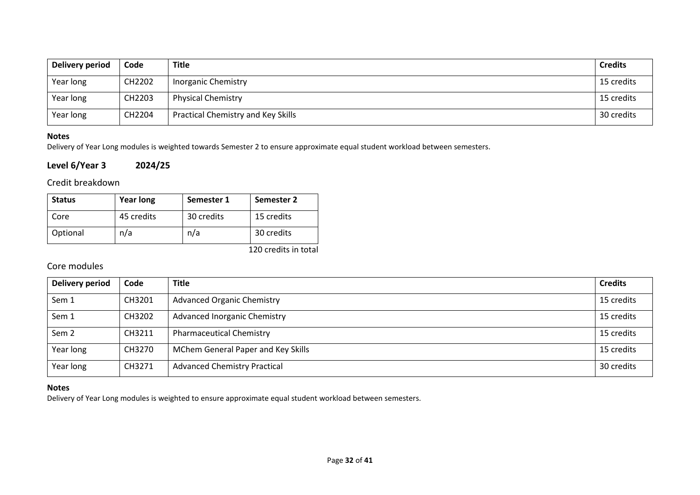| Delivery period | Code   | Title                                     | <b>Credits</b> |
|-----------------|--------|-------------------------------------------|----------------|
| Year long       | CH2202 | <b>Inorganic Chemistry</b>                | 15 credits     |
| Year long       | CH2203 | <b>Physical Chemistry</b>                 | 15 credits     |
| Year long       | CH2204 | <b>Practical Chemistry and Key Skills</b> | 30 credits     |

Delivery of Year Long modules is weighted towards Semester 2 to ensure approximate equal student workload between semesters.

### **Level 6/Year 3 2024/25**

### Credit breakdown

| <b>Status</b> | <b>Year long</b> | Semester 1 | Semester 2 |
|---------------|------------------|------------|------------|
| Core          | 45 credits       | 30 credits | 15 credits |
| Optional      | n/a              | n/a        | 30 credits |

120 credits in total

# Core modules

| Delivery period  | Code   | <b>Title</b>                        | <b>Credits</b> |
|------------------|--------|-------------------------------------|----------------|
| Sem 1            | CH3201 | <b>Advanced Organic Chemistry</b>   | 15 credits     |
| Sem 1            | CH3202 | <b>Advanced Inorganic Chemistry</b> | 15 credits     |
| Sem <sub>2</sub> | CH3211 | <b>Pharmaceutical Chemistry</b>     | 15 credits     |
| Year long        | CH3270 | MChem General Paper and Key Skills  | 15 credits     |
| Year long        | CH3271 | <b>Advanced Chemistry Practical</b> | 30 credits     |

### **Notes**

Delivery of Year Long modules is weighted to ensure approximate equal student workload between semesters.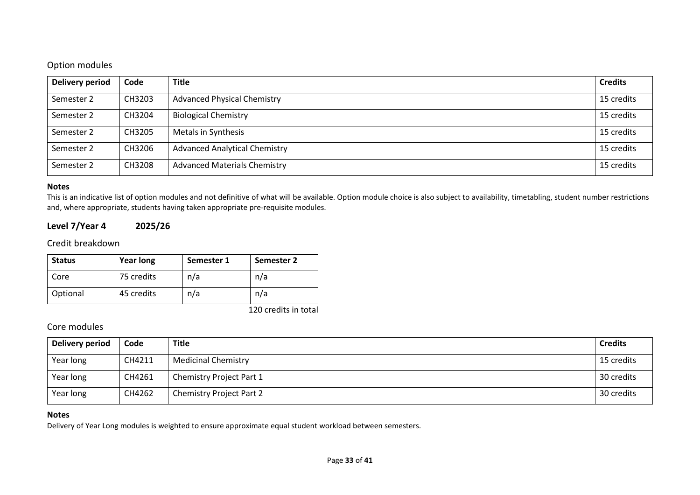### Option modules

| Delivery period | Code   | <b>Title</b>                         | <b>Credits</b> |
|-----------------|--------|--------------------------------------|----------------|
| Semester 2      | CH3203 | <b>Advanced Physical Chemistry</b>   | 15 credits     |
| Semester 2      | CH3204 | <b>Biological Chemistry</b>          | 15 credits     |
| Semester 2      | CH3205 | Metals in Synthesis                  | 15 credits     |
| Semester 2      | CH3206 | <b>Advanced Analytical Chemistry</b> | 15 credits     |
| Semester 2      | CH3208 | <b>Advanced Materials Chemistry</b>  | 15 credits     |

#### **Notes**

This is an indicative list of option modules and not definitive of what will be available. Option module choice is also subject to availability, timetabling, student number restrictions and, where appropriate, students having taken appropriate pre-requisite modules.

### **Level 7/Year 4 2025/26**

### Credit breakdown

| <b>Status</b> | <b>Year long</b> | Semester 1 | Semester 2 |
|---------------|------------------|------------|------------|
| Core          | 75 credits       | n/a        | n/a        |
| Optional      | 45 credits       | n/a        | n/a        |

120 credits in total

### Core modules

| Delivery period | Code   | <b>Title</b>                    | <b>Credits</b> |
|-----------------|--------|---------------------------------|----------------|
| Year long       | CH4211 | <b>Medicinal Chemistry</b>      | 15 credits     |
| Year long       | CH4261 | Chemistry Project Part 1        | 30 credits     |
| Year long       | CH4262 | <b>Chemistry Project Part 2</b> | 30 credits     |

#### **Notes**

Delivery of Year Long modules is weighted to ensure approximate equal student workload between semesters.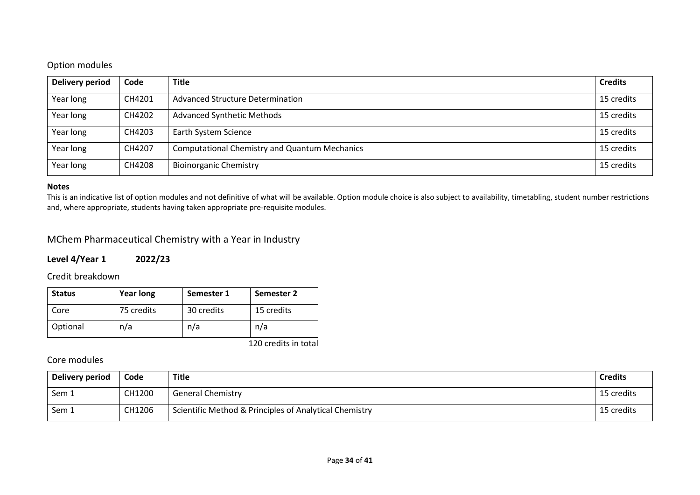# Option modules

| <b>Delivery period</b> | Code   | <b>Title</b>                                         | <b>Credits</b> |
|------------------------|--------|------------------------------------------------------|----------------|
| Year long              | CH4201 | Advanced Structure Determination                     | 15 credits     |
| Year long              | CH4202 | <b>Advanced Synthetic Methods</b>                    | 15 credits     |
| Year long              | CH4203 | Earth System Science                                 | 15 credits     |
| Year long              | CH4207 | <b>Computational Chemistry and Quantum Mechanics</b> | 15 credits     |
| Year long              | CH4208 | <b>Bioinorganic Chemistry</b>                        | 15 credits     |

#### **Notes**

This is an indicative list of option modules and not definitive of what will be available. Option module choice is also subject to availability, timetabling, student number restrictions and, where appropriate, students having taken appropriate pre-requisite modules.

# MChem Pharmaceutical Chemistry with a Year in Industry

### **Level 4/Year 1 2022/23**

Credit breakdown

| <b>Status</b> | <b>Year long</b> | Semester 1 | Semester 2 |
|---------------|------------------|------------|------------|
| Core          | 75 credits       | 30 credits | 15 credits |
| Optional      | n/a              | n/a        | n/a        |

120 credits in total

| Delivery period | Code   | <b>Title</b>                                           | <b>Credits</b> |
|-----------------|--------|--------------------------------------------------------|----------------|
| Sem 1           | CH1200 | <b>General Chemistry</b>                               | 15 credits     |
| Sem 1           | CH1206 | Scientific Method & Principles of Analytical Chemistry | 15 credits     |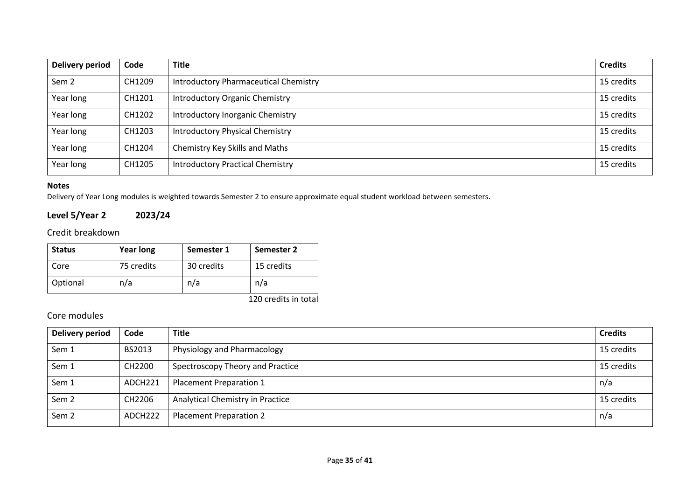| Delivery period  | Code   | <b>Title</b>                            | <b>Credits</b> |
|------------------|--------|-----------------------------------------|----------------|
| Sem <sub>2</sub> | CH1209 | Introductory Pharmaceutical Chemistry   |                |
| Year long        | CH1201 | <b>Introductory Organic Chemistry</b>   | 15 credits     |
| Year long        | CH1202 | Introductory Inorganic Chemistry        |                |
| Year long        | CH1203 | <b>Introductory Physical Chemistry</b>  | 15 credits     |
| Year long        | CH1204 | Chemistry Key Skills and Maths          | 15 credits     |
| Year long        | CH1205 | <b>Introductory Practical Chemistry</b> | 15 credits     |

Delivery of Year Long modules is weighted towards Semester 2 to ensure approximate equal student workload between semesters.

# **Level 5/Year 2 2023/24**

Credit breakdown

| <b>Status</b> | <b>Year long</b> | Semester 1 | Semester 2 |
|---------------|------------------|------------|------------|
| Core          | 75 credits       | 30 credits | 15 credits |
| Optional      | n/a              | n/a        | n/a        |

120 credits in total

| Delivery period  | Code                | <b>Title</b>                     | <b>Credits</b> |
|------------------|---------------------|----------------------------------|----------------|
| Sem 1            | BS2013              | Physiology and Pharmacology      | 15 credits     |
| Sem 1            | CH2200              | Spectroscopy Theory and Practice | 15 credits     |
| Sem 1            | ADCH <sub>221</sub> | Placement Preparation 1          | n/a            |
| Sem <sub>2</sub> | CH2206              | Analytical Chemistry in Practice | 15 credits     |
| Sem <sub>2</sub> | ADCH222             | Placement Preparation 2          | n/a            |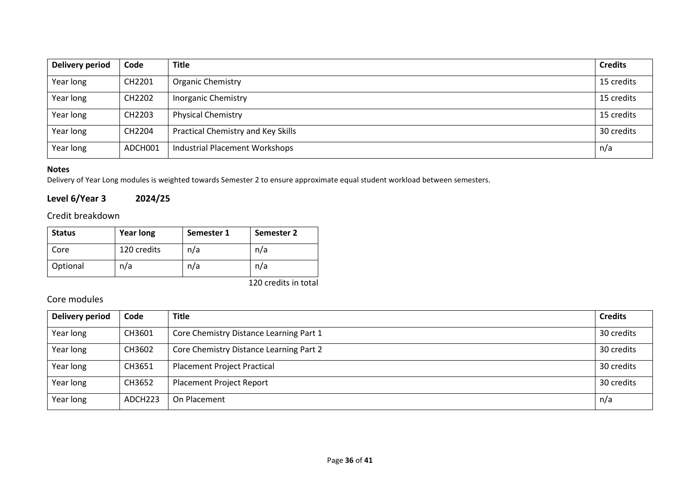| Delivery period | Code    | <b>Title</b>                          | <b>Credits</b> |
|-----------------|---------|---------------------------------------|----------------|
| Year long       | CH2201  | <b>Organic Chemistry</b>              | 15 credits     |
| Year long       | CH2202  | <b>Inorganic Chemistry</b>            | 15 credits     |
| Year long       | CH2203  | <b>Physical Chemistry</b>             | 15 credits     |
| Year long       | CH2204  | Practical Chemistry and Key Skills    | 30 credits     |
| Year long       | ADCH001 | <b>Industrial Placement Workshops</b> | n/a            |

Delivery of Year Long modules is weighted towards Semester 2 to ensure approximate equal student workload between semesters.

# **Level 6/Year 3 2024/25**

### Credit breakdown

| <b>Status</b> | <b>Year long</b> | Semester 1 | Semester 2 |
|---------------|------------------|------------|------------|
| Core          | 120 credits      | n/a        | n/a        |
| Optional      | n/a              | n/a        | n/a        |

120 credits in total

| Delivery period | Code    | <b>Title</b>                            | <b>Credits</b> |  |  |
|-----------------|---------|-----------------------------------------|----------------|--|--|
| Year long       | CH3601  | Core Chemistry Distance Learning Part 1 |                |  |  |
| Year long       | CH3602  | Core Chemistry Distance Learning Part 2 | 30 credits     |  |  |
| Year long       | CH3651  | <b>Placement Project Practical</b>      |                |  |  |
| Year long       | CH3652  | <b>Placement Project Report</b>         | 30 credits     |  |  |
| Year long       | ADCH223 | On Placement                            | n/a            |  |  |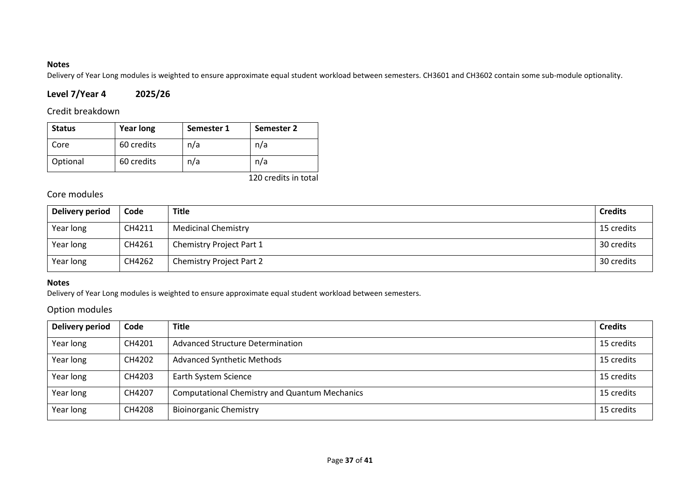Delivery of Year Long modules is weighted to ensure approximate equal student workload between semesters. CH3601 and CH3602 contain some sub-module optionality.

# **Level 7/Year 4 2025/26**

### Credit breakdown

| <b>Status</b> | <b>Year long</b> | Semester 1 | Semester 2 |
|---------------|------------------|------------|------------|
| Core          | 60 credits       | n/a        | n/a        |
| Optional      | 60 credits       | n/a        | n/a        |

120 credits in total

## Core modules

| Delivery period | Code   | <b>Title</b>                    | <b>Credits</b> |
|-----------------|--------|---------------------------------|----------------|
| Year long       | CH4211 | <b>Medicinal Chemistry</b>      | 15 credits     |
| Year long       | CH4261 | Chemistry Project Part 1        | 30 credits     |
| Year long       | CH4262 | <b>Chemistry Project Part 2</b> | 30 credits     |

#### **Notes**

Delivery of Year Long modules is weighted to ensure approximate equal student workload between semesters.

### Option modules

| Delivery period | Code   | <b>Title</b>                                         | <b>Credits</b> |
|-----------------|--------|------------------------------------------------------|----------------|
| Year long       | CH4201 | Advanced Structure Determination                     |                |
| Year long       | CH4202 | <b>Advanced Synthetic Methods</b>                    | 15 credits     |
| Year long       | CH4203 | Earth System Science                                 |                |
| Year long       | CH4207 | <b>Computational Chemistry and Quantum Mechanics</b> |                |
| Year long       | CH4208 | <b>Bioinorganic Chemistry</b>                        | 15 credits     |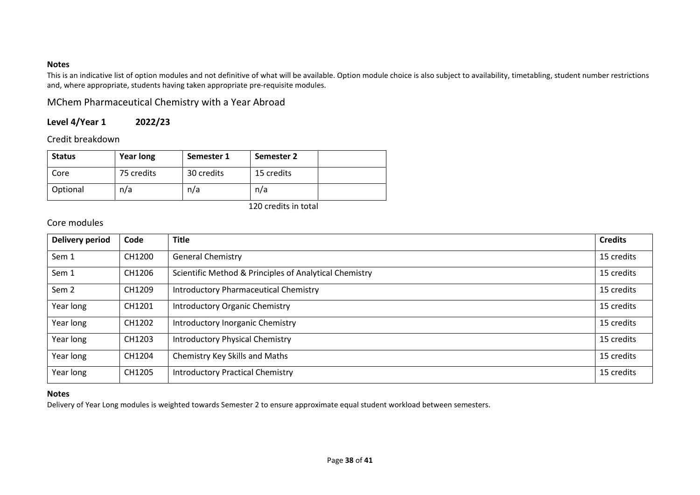This is an indicative list of option modules and not definitive of what will be available. Option module choice is also subject to availability, timetabling, student number restrictions and, where appropriate, students having taken appropriate pre-requisite modules.

MChem Pharmaceutical Chemistry with a Year Abroad

# **Level 4/Year 1 2022/23**

Credit breakdown

| <b>Status</b> | <b>Year long</b> | Semester 1 | Semester 2 |  |
|---------------|------------------|------------|------------|--|
| Core          | 75 credits       | 30 credits | 15 credits |  |
| Optional      | n/a              | n/a        | n/a        |  |

120 credits in total

### Core modules

| <b>Delivery period</b> | Code   | <b>Title</b>                                           | <b>Credits</b> |
|------------------------|--------|--------------------------------------------------------|----------------|
| Sem 1                  | CH1200 | <b>General Chemistry</b>                               | 15 credits     |
| Sem 1                  | CH1206 | Scientific Method & Principles of Analytical Chemistry | 15 credits     |
| Sem <sub>2</sub>       | CH1209 | <b>Introductory Pharmaceutical Chemistry</b>           | 15 credits     |
| Year long              | CH1201 | <b>Introductory Organic Chemistry</b>                  | 15 credits     |
| Year long              | CH1202 | Introductory Inorganic Chemistry                       | 15 credits     |
| Year long              | CH1203 | <b>Introductory Physical Chemistry</b>                 | 15 credits     |
| Year long              | CH1204 | Chemistry Key Skills and Maths                         | 15 credits     |
| Year long              | CH1205 | <b>Introductory Practical Chemistry</b>                | 15 credits     |

#### **Notes**

Delivery of Year Long modules is weighted towards Semester 2 to ensure approximate equal student workload between semesters.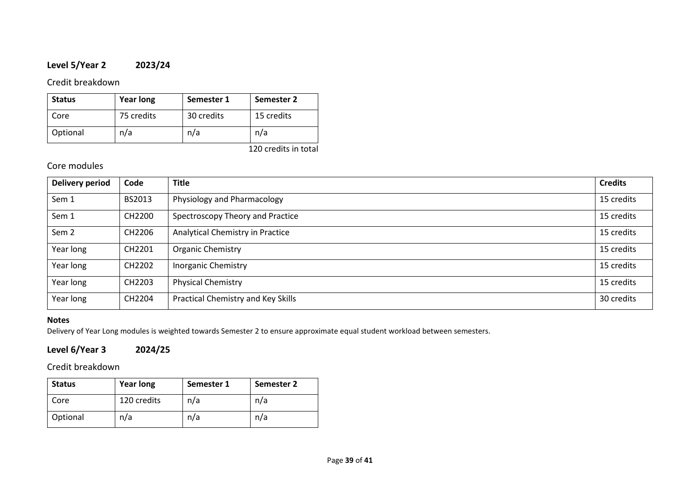# **Level 5/Year 2 2023/24**

### Credit breakdown

| <b>Status</b> | <b>Year long</b> | Semester 1 | Semester 2 |
|---------------|------------------|------------|------------|
| Core          | 75 credits       | 30 credits | 15 credits |
| Optional      | n/a              | n/a        | n/a        |

120 credits in total

## Core modules

| <b>Delivery period</b> | Code               | <b>Title</b>                       | <b>Credits</b> |
|------------------------|--------------------|------------------------------------|----------------|
| Sem 1                  | BS2013             | Physiology and Pharmacology        | 15 credits     |
| Sem 1                  | CH2200             | Spectroscopy Theory and Practice   | 15 credits     |
| Sem <sub>2</sub>       | CH2206             | Analytical Chemistry in Practice   | 15 credits     |
| Year long              | CH2201             | Organic Chemistry                  | 15 credits     |
| Year long              | CH2202             | <b>Inorganic Chemistry</b>         | 15 credits     |
| Year long              | CH <sub>2203</sub> | <b>Physical Chemistry</b>          | 15 credits     |
| Year long              | CH2204             | Practical Chemistry and Key Skills | 30 credits     |

### **Notes**

Delivery of Year Long modules is weighted towards Semester 2 to ensure approximate equal student workload between semesters.

# **Level 6/Year 3 2024/25**

Credit breakdown

| <b>Status</b> | <b>Year long</b> | Semester 1 | Semester 2 |
|---------------|------------------|------------|------------|
| Core          | 120 credits      | n/a        | n/a        |
| Optional      | n/a              | n/a        | n/a        |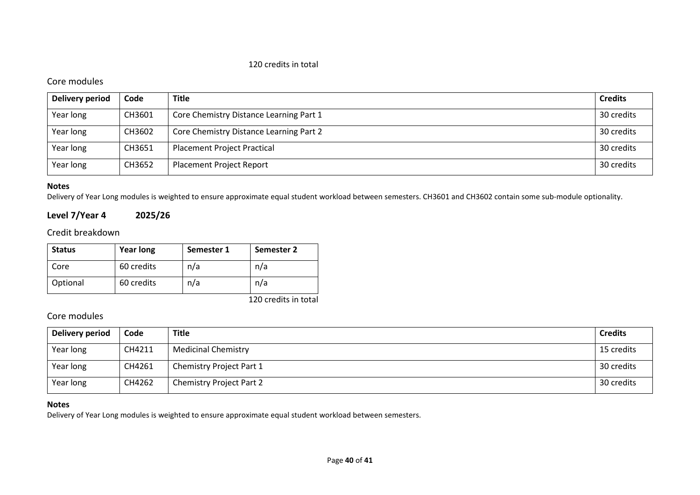#### 120 credits in total

### Core modules

| Delivery period | Code   | <b>Title</b>                            | <b>Credits</b> |
|-----------------|--------|-----------------------------------------|----------------|
| Year long       | CH3601 | Core Chemistry Distance Learning Part 1 | 30 credits     |
| Year long       | CH3602 | Core Chemistry Distance Learning Part 2 | 30 credits     |
| Year long       | CH3651 | <b>Placement Project Practical</b>      | 30 credits     |
| Year long       | CH3652 | <b>Placement Project Report</b>         | 30 credits     |

#### **Notes**

Delivery of Year Long modules is weighted to ensure approximate equal student workload between semesters. CH3601 and CH3602 contain some sub-module optionality.

### **Level 7/Year 4 2025/26**

### Credit breakdown

| <b>Status</b> | <b>Year long</b> | Semester 1 | Semester 2 |
|---------------|------------------|------------|------------|
| Core          | 60 credits       | n/a        | n/a        |
| Optional      | 60 credits       | n/a        | n/a        |

120 credits in total

## Core modules

| Delivery period | Code   | <b>Title</b>                    | <b>Credits</b> |
|-----------------|--------|---------------------------------|----------------|
| Year long       | CH4211 | <b>Medicinal Chemistry</b>      | 15 credits     |
| Year long       | CH4261 | Chemistry Project Part 1        | 30 credits     |
| Year long       | CH4262 | <b>Chemistry Project Part 2</b> | 30 credits     |

#### **Notes**

Delivery of Year Long modules is weighted to ensure approximate equal student workload between semesters.